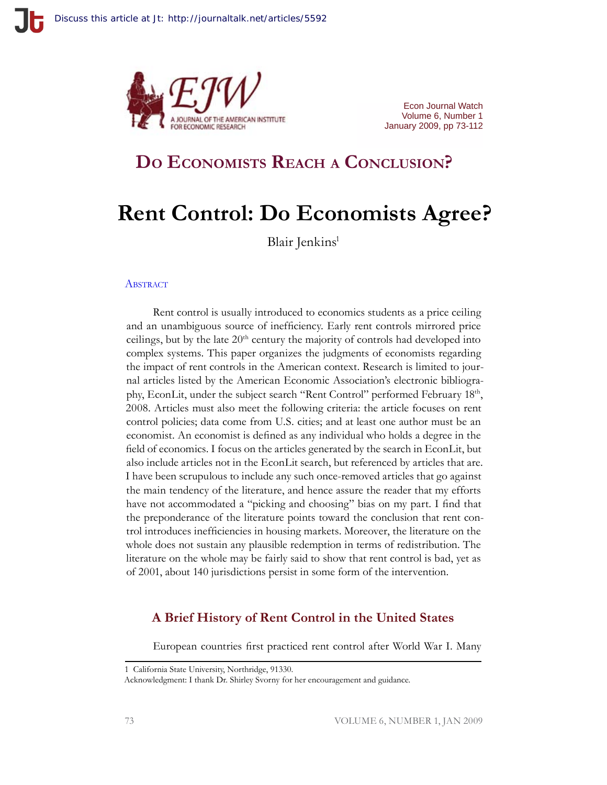

Econ Journal Watch Volume 6, Number 1 January 2009, pp 73-112

## **Do Economists Reach <sup>a</sup> Conclusion?**

# **Rent Control: Do Economists Agree?**

Blair Jenkins<sup>1</sup>

#### **ABSTRACT**

Rent control is usually introduced to economics students as a price ceiling and an unambiguous source of inefficiency. Early rent controls mirrored price ceilings, but by the late 20<sup>th</sup> century the majority of controls had developed into complex systems. This paper organizes the judgments of economists regarding the impact of rent controls in the American context. Research is limited to journal articles listed by the American Economic Association's electronic bibliography, EconLit, under the subject search "Rent Control" performed February 18th, 2008. Articles must also meet the following criteria: the article focuses on rent control policies; data come from U.S. cities; and at least one author must be an economist. An economist is defined as any individual who holds a degree in the field of economics. I focus on the articles generated by the search in EconLit, but also include articles not in the EconLit search, but referenced by articles that are. I have been scrupulous to include any such once-removed articles that go against the main tendency of the literature, and hence assure the reader that my efforts have not accommodated a "picking and choosing" bias on my part. I find that the preponderance of the literature points toward the conclusion that rent control introduces inefficiencies in housing markets. Moreover, the literature on the whole does not sustain any plausible redemption in terms of redistribution. The literature on the whole may be fairly said to show that rent control is bad, yet as of 2001, about 140 jurisdictions persist in some form of the intervention.

## **A Brief History of Rent Control in the United States**

European countries first practiced rent control after World War I. Many

<sup>1</sup> California State University, Northridge, 91330.

Acknowledgment: I thank Dr. Shirley Svorny for her encouragement and guidance.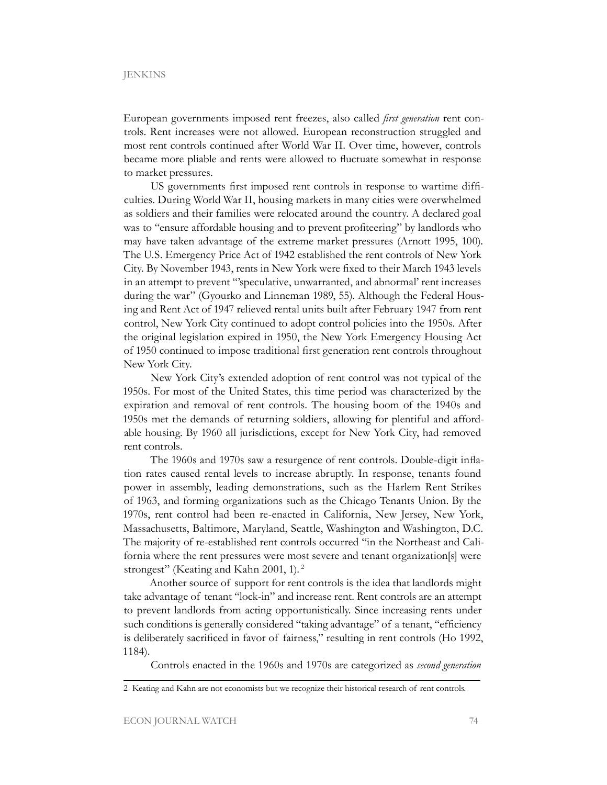European governments imposed rent freezes, also called *first generation* rent controls. Rent increases were not allowed. European reconstruction struggled and most rent controls continued after World War II. Over time, however, controls became more pliable and rents were allowed to fluctuate somewhat in response to market pressures.

US governments first imposed rent controls in response to wartime difficulties. During World War II, housing markets in many cities were overwhelmed as soldiers and their families were relocated around the country. A declared goal was to "ensure affordable housing and to prevent profiteering" by landlords who may have taken advantage of the extreme market pressures (Arnott 1995, 100). The U.S. Emergency Price Act of 1942 established the rent controls of New York City. By November 1943, rents in New York were fixed to their March 1943 levels in an attempt to prevent "'speculative, unwarranted, and abnormal' rent increases during the war" (Gyourko and Linneman 1989, 55). Although the Federal Housing and Rent Act of 1947 relieved rental units built after February 1947 from rent control, New York City continued to adopt control policies into the 1950s. After the original legislation expired in 1950, the New York Emergency Housing Act of 1950 continued to impose traditional first generation rent controls throughout New York City.

New York City's extended adoption of rent control was not typical of the 1950s. For most of the United States, this time period was characterized by the expiration and removal of rent controls. The housing boom of the 1940s and 1950s met the demands of returning soldiers, allowing for plentiful and affordable housing. By 1960 all jurisdictions, except for New York City, had removed rent controls.

The 1960s and 1970s saw a resurgence of rent controls. Double-digit inflation rates caused rental levels to increase abruptly. In response, tenants found power in assembly, leading demonstrations, such as the Harlem Rent Strikes of 1963, and forming organizations such as the Chicago Tenants Union. By the 1970s, rent control had been re-enacted in California, New Jersey, New York, Massachusetts, Baltimore, Maryland, Seattle, Washington and Washington, D.C. The majority of re-established rent controls occurred "in the Northeast and California where the rent pressures were most severe and tenant organization[s] were strongest" (Keating and Kahn 2001, 1).<sup>2</sup>

Another source of support for rent controls is the idea that landlords might take advantage of tenant "lock-in" and increase rent. Rent controls are an attempt to prevent landlords from acting opportunistically. Since increasing rents under such conditions is generally considered "taking advantage" of a tenant, "efficiency is deliberately sacrificed in favor of fairness," resulting in rent controls (Ho 1992, 1184).

Controls enacted in the 1960s and 1970s are categorized as *second generation* 

<sup>2</sup> Keating and Kahn are not economists but we recognize their historical research of rent controls.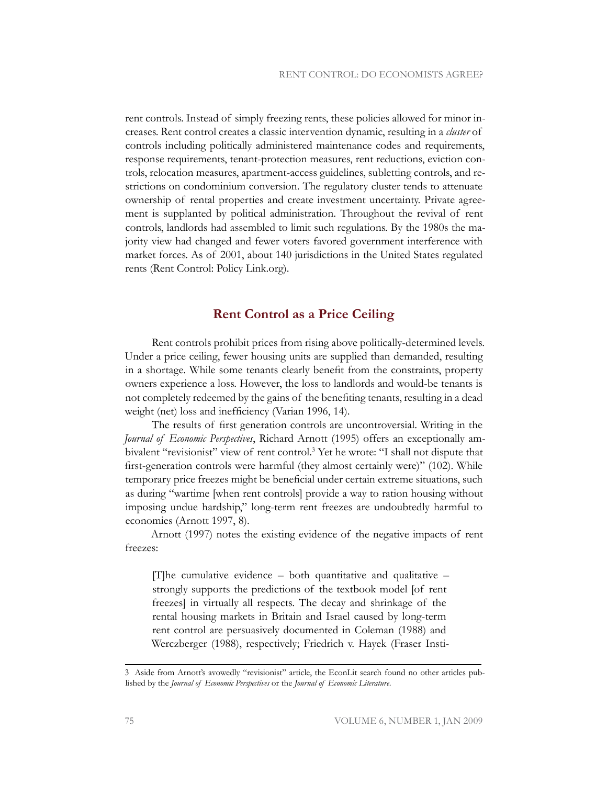rent controls. Instead of simply freezing rents, these policies allowed for minor increases. Rent control creates a classic intervention dynamic, resulting in a *cluster* of controls including politically administered maintenance codes and requirements, response requirements, tenant-protection measures, rent reductions, eviction controls, relocation measures, apartment-access guidelines, subletting controls, and restrictions on condominium conversion. The regulatory cluster tends to attenuate ownership of rental properties and create investment uncertainty. Private agreement is supplanted by political administration. Throughout the revival of rent controls, landlords had assembled to limit such regulations. By the 1980s the majority view had changed and fewer voters favored government interference with market forces. As of 2001, about 140 jurisdictions in the United States regulated rents (Rent Control: Policy Link.org).

## **Rent Control as a Price Ceiling**

Rent controls prohibit prices from rising above politically-determined levels. Under a price ceiling, fewer housing units are supplied than demanded, resulting in a shortage. While some tenants clearly benefit from the constraints, property owners experience a loss. However, the loss to landlords and would-be tenants is not completely redeemed by the gains of the benefiting tenants, resulting in a dead weight (net) loss and inefficiency (Varian 1996, 14).

The results of first generation controls are uncontroversial. Writing in the *Journal of Economic Perspectives*, Richard Arnott (1995) offers an exceptionally ambivalent "revisionist" view of rent control.<sup>3</sup> Yet he wrote: "I shall not dispute that first-generation controls were harmful (they almost certainly were)" (102). While temporary price freezes might be beneficial under certain extreme situations, such as during "wartime [when rent controls] provide a way to ration housing without imposing undue hardship," long-term rent freezes are undoubtedly harmful to economies (Arnott 1997, 8).

Arnott (1997) notes the existing evidence of the negative impacts of rent freezes:

[T]he cumulative evidence – both quantitative and qualitative – strongly supports the predictions of the textbook model [of rent freezes] in virtually all respects. The decay and shrinkage of the rental housing markets in Britain and Israel caused by long-term rent control are persuasively documented in Coleman (1988) and Werczberger (1988), respectively; Friedrich v. Hayek (Fraser Insti-

<sup>3</sup> Aside from Arnott's avowedly "revisionist" article, the EconLit search found no other articles published by the *Journal of Economic Perspectives* or the *Journal of Economic Literature*.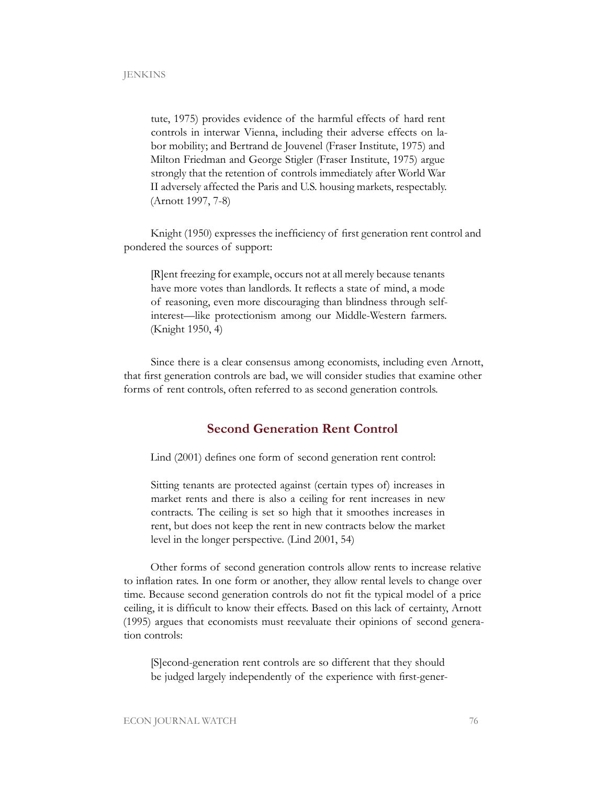tute, 1975) provides evidence of the harmful effects of hard rent controls in interwar Vienna, including their adverse effects on labor mobility; and Bertrand de Jouvenel (Fraser Institute, 1975) and Milton Friedman and George Stigler (Fraser Institute, 1975) argue strongly that the retention of controls immediately after World War II adversely affected the Paris and U.S. housing markets, respectably. (Arnott 1997, 7-8)

Knight (1950) expresses the inefficiency of first generation rent control and pondered the sources of support:

[R]ent freezing for example, occurs not at all merely because tenants have more votes than landlords. It reflects a state of mind, a mode of reasoning, even more discouraging than blindness through selfinterest—like protectionism among our Middle-Western farmers. (Knight 1950, 4)

Since there is a clear consensus among economists, including even Arnott, that first generation controls are bad, we will consider studies that examine other forms of rent controls, often referred to as second generation controls.

## **Second Generation Rent Control**

Lind (2001) defines one form of second generation rent control:

Sitting tenants are protected against (certain types of) increases in market rents and there is also a ceiling for rent increases in new contracts. The ceiling is set so high that it smoothes increases in rent, but does not keep the rent in new contracts below the market level in the longer perspective. (Lind 2001, 54)

Other forms of second generation controls allow rents to increase relative to inflation rates. In one form or another, they allow rental levels to change over time. Because second generation controls do not fit the typical model of a price ceiling, it is difficult to know their effects. Based on this lack of certainty, Arnott (1995) argues that economists must reevaluate their opinions of second generation controls:

[S]econd-generation rent controls are so different that they should be judged largely independently of the experience with first-gener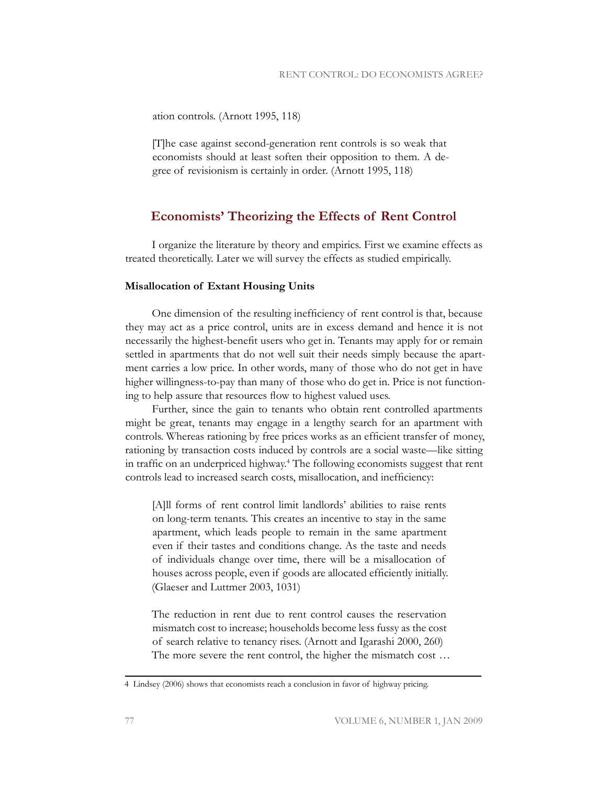ation controls. (Arnott 1995, 118)

[T]he case against second-generation rent controls is so weak that economists should at least soften their opposition to them. A degree of revisionism is certainly in order. (Arnott 1995, 118)

## **Economists' Theorizing the Effects of Rent Control**

I organize the literature by theory and empirics. First we examine effects as treated theoretically. Later we will survey the effects as studied empirically.

#### **Misallocation of Extant Housing Units**

One dimension of the resulting inefficiency of rent control is that, because they may act as a price control, units are in excess demand and hence it is not necessarily the highest-benefit users who get in. Tenants may apply for or remain settled in apartments that do not well suit their needs simply because the apartment carries a low price. In other words, many of those who do not get in have higher willingness-to-pay than many of those who do get in. Price is not functioning to help assure that resources flow to highest valued uses.

Further, since the gain to tenants who obtain rent controlled apartments might be great, tenants may engage in a lengthy search for an apartment with controls. Whereas rationing by free prices works as an efficient transfer of money, rationing by transaction costs induced by controls are a social waste—like sitting in traffic on an underpriced highway.<sup>4</sup> The following economists suggest that rent controls lead to increased search costs, misallocation, and inefficiency:

[A]ll forms of rent control limit landlords' abilities to raise rents on long-term tenants. This creates an incentive to stay in the same apartment, which leads people to remain in the same apartment even if their tastes and conditions change. As the taste and needs of individuals change over time, there will be a misallocation of houses across people, even if goods are allocated efficiently initially. (Glaeser and Luttmer 2003, 1031)

The reduction in rent due to rent control causes the reservation mismatch cost to increase; households become less fussy as the cost of search relative to tenancy rises. (Arnott and Igarashi 2000, 260) The more severe the rent control, the higher the mismatch cost …

<sup>4</sup> Lindsey (2006) shows that economists reach a conclusion in favor of highway pricing.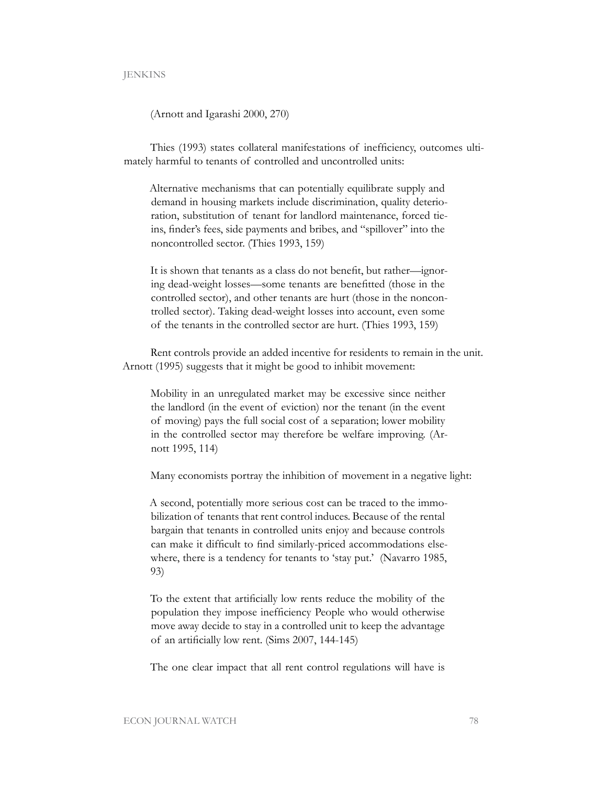#### **JENKINS**

#### (Arnott and Igarashi 2000, 270)

Thies (1993) states collateral manifestations of inefficiency, outcomes ultimately harmful to tenants of controlled and uncontrolled units:

Alternative mechanisms that can potentially equilibrate supply and demand in housing markets include discrimination, quality deterioration, substitution of tenant for landlord maintenance, forced tieins, finder's fees, side payments and bribes, and "spillover" into the noncontrolled sector. (Thies 1993, 159)

It is shown that tenants as a class do not benefit, but rather—ignoring dead-weight losses—some tenants are benefitted (those in the controlled sector), and other tenants are hurt (those in the noncontrolled sector). Taking dead-weight losses into account, even some of the tenants in the controlled sector are hurt. (Thies 1993, 159)

Rent controls provide an added incentive for residents to remain in the unit. Arnott (1995) suggests that it might be good to inhibit movement:

Mobility in an unregulated market may be excessive since neither the landlord (in the event of eviction) nor the tenant (in the event of moving) pays the full social cost of a separation; lower mobility in the controlled sector may therefore be welfare improving. (Arnott 1995, 114)

Many economists portray the inhibition of movement in a negative light:

A second, potentially more serious cost can be traced to the immobilization of tenants that rent control induces. Because of the rental bargain that tenants in controlled units enjoy and because controls can make it difficult to find similarly-priced accommodations elsewhere, there is a tendency for tenants to 'stay put.' (Navarro 1985, 93)

To the extent that artificially low rents reduce the mobility of the population they impose inefficiency People who would otherwise move away decide to stay in a controlled unit to keep the advantage of an artificially low rent. (Sims 2007, 144-145)

The one clear impact that all rent control regulations will have is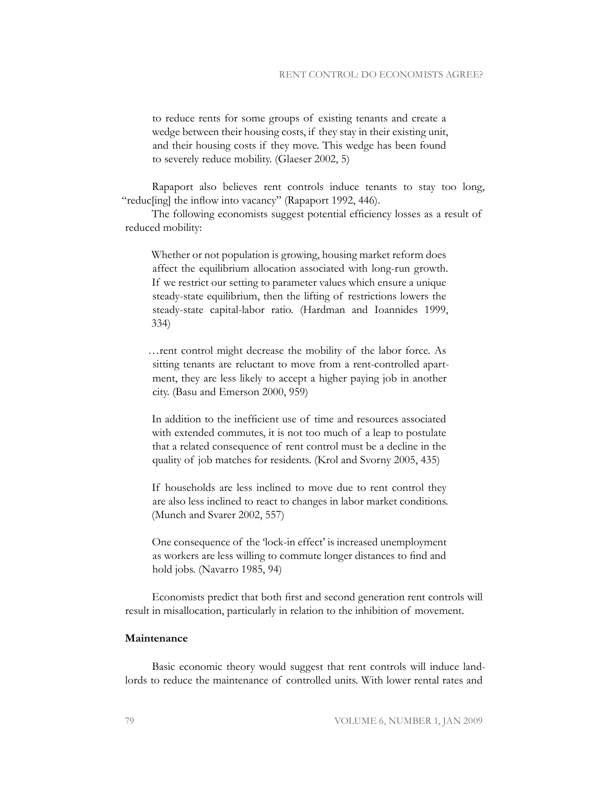to reduce rents for some groups of existing tenants and create a wedge between their housing costs, if they stay in their existing unit, and their housing costs if they move. This wedge has been found to severely reduce mobility. (Glaeser 2002, 5)

Rapaport also believes rent controls induce tenants to stay too long, "reduc[ing] the inflow into vacancy" (Rapaport 1992, 446).

The following economists suggest potential efficiency losses as a result of reduced mobility:

Whether or not population is growing, housing market reform does affect the equilibrium allocation associated with long-run growth. If we restrict our setting to parameter values which ensure a unique steady-state equilibrium, then the lifting of restrictions lowers the steady-state capital-labor ratio. (Hardman and Ioannides 1999, 334)

…rent control might decrease the mobility of the labor force. As sitting tenants are reluctant to move from a rent-controlled apartment, they are less likely to accept a higher paying job in another city. (Basu and Emerson 2000, 959)

In addition to the inefficient use of time and resources associated with extended commutes, it is not too much of a leap to postulate that a related consequence of rent control must be a decline in the quality of job matches for residents. (Krol and Svorny 2005, 435)

If households are less inclined to move due to rent control they are also less inclined to react to changes in labor market conditions. (Munch and Svarer 2002, 557)

One consequence of the 'lock-in effect' is increased unemployment as workers are less willing to commute longer distances to find and hold jobs. (Navarro 1985, 94)

Economists predict that both first and second generation rent controls will result in misallocation, particularly in relation to the inhibition of movement.

## **Maintenance**

Basic economic theory would suggest that rent controls will induce landlords to reduce the maintenance of controlled units. With lower rental rates and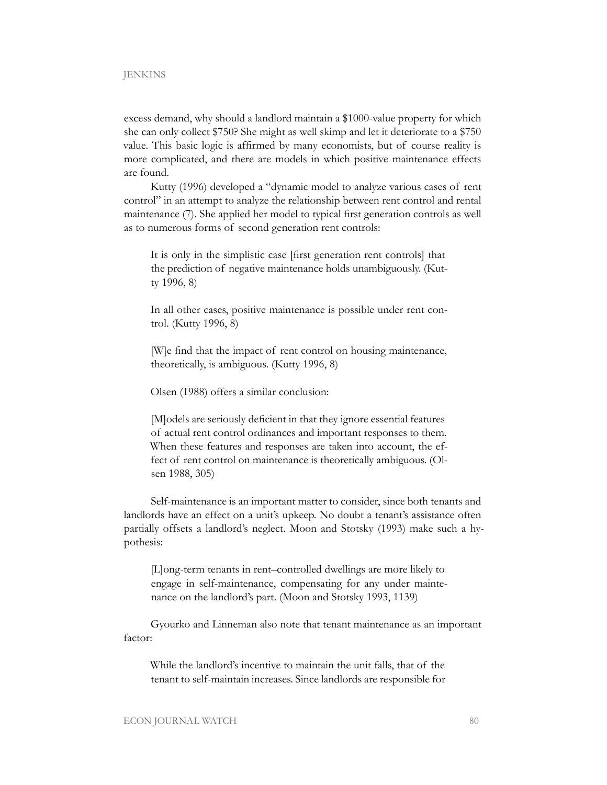excess demand, why should a landlord maintain a \$1000-value property for which she can only collect \$750? She might as well skimp and let it deteriorate to a \$750 value. This basic logic is affirmed by many economists, but of course reality is more complicated, and there are models in which positive maintenance effects are found.

Kutty (1996) developed a "dynamic model to analyze various cases of rent control" in an attempt to analyze the relationship between rent control and rental maintenance (7). She applied her model to typical first generation controls as well as to numerous forms of second generation rent controls:

It is only in the simplistic case [first generation rent controls] that the prediction of negative maintenance holds unambiguously. (Kutty 1996, 8)

In all other cases, positive maintenance is possible under rent control. (Kutty 1996, 8)

[W]e find that the impact of rent control on housing maintenance, theoretically, is ambiguous. (Kutty 1996, 8)

Olsen (1988) offers a similar conclusion:

[M]odels are seriously deficient in that they ignore essential features of actual rent control ordinances and important responses to them. When these features and responses are taken into account, the effect of rent control on maintenance is theoretically ambiguous. (Olsen 1988, 305)

Self-maintenance is an important matter to consider, since both tenants and landlords have an effect on a unit's upkeep. No doubt a tenant's assistance often partially offsets a landlord's neglect. Moon and Stotsky (1993) make such a hypothesis:

[L]ong-term tenants in rent–controlled dwellings are more likely to engage in self-maintenance, compensating for any under maintenance on the landlord's part. (Moon and Stotsky 1993, 1139)

Gyourko and Linneman also note that tenant maintenance as an important factor:

While the landlord's incentive to maintain the unit falls, that of the tenant to self-maintain increases. Since landlords are responsible for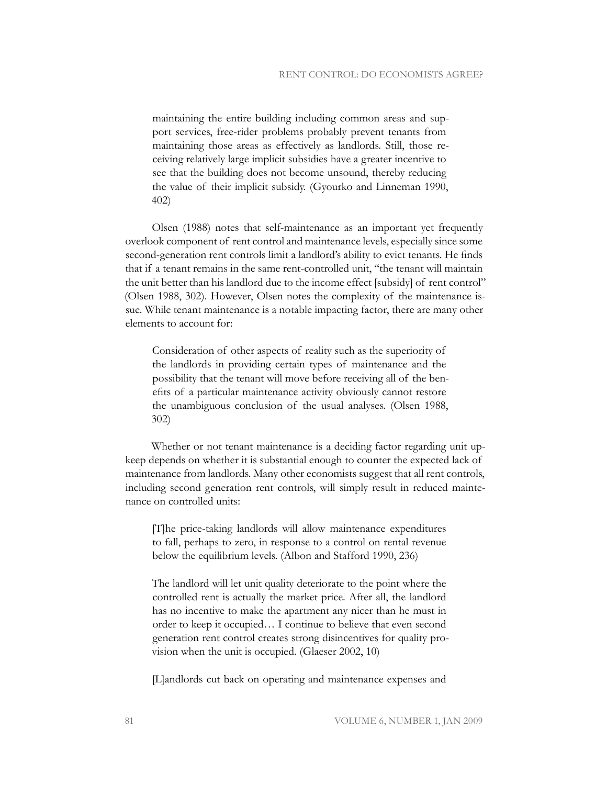maintaining the entire building including common areas and support services, free-rider problems probably prevent tenants from maintaining those areas as effectively as landlords. Still, those receiving relatively large implicit subsidies have a greater incentive to see that the building does not become unsound, thereby reducing the value of their implicit subsidy. (Gyourko and Linneman 1990, 402)

Olsen (1988) notes that self-maintenance as an important yet frequently overlook component of rent control and maintenance levels, especially since some second-generation rent controls limit a landlord's ability to evict tenants. He finds that if a tenant remains in the same rent-controlled unit, "the tenant will maintain the unit better than his landlord due to the income effect [subsidy] of rent control" (Olsen 1988, 302). However, Olsen notes the complexity of the maintenance issue. While tenant maintenance is a notable impacting factor, there are many other elements to account for:

Consideration of other aspects of reality such as the superiority of the landlords in providing certain types of maintenance and the possibility that the tenant will move before receiving all of the benefits of a particular maintenance activity obviously cannot restore the unambiguous conclusion of the usual analyses. (Olsen 1988, 302)

Whether or not tenant maintenance is a deciding factor regarding unit upkeep depends on whether it is substantial enough to counter the expected lack of maintenance from landlords. Many other economists suggest that all rent controls, including second generation rent controls, will simply result in reduced maintenance on controlled units:

[T]he price-taking landlords will allow maintenance expenditures to fall, perhaps to zero, in response to a control on rental revenue below the equilibrium levels. (Albon and Stafford 1990, 236)

The landlord will let unit quality deteriorate to the point where the controlled rent is actually the market price. After all, the landlord has no incentive to make the apartment any nicer than he must in order to keep it occupied… I continue to believe that even second generation rent control creates strong disincentives for quality provision when the unit is occupied. (Glaeser 2002, 10)

[L]andlords cut back on operating and maintenance expenses and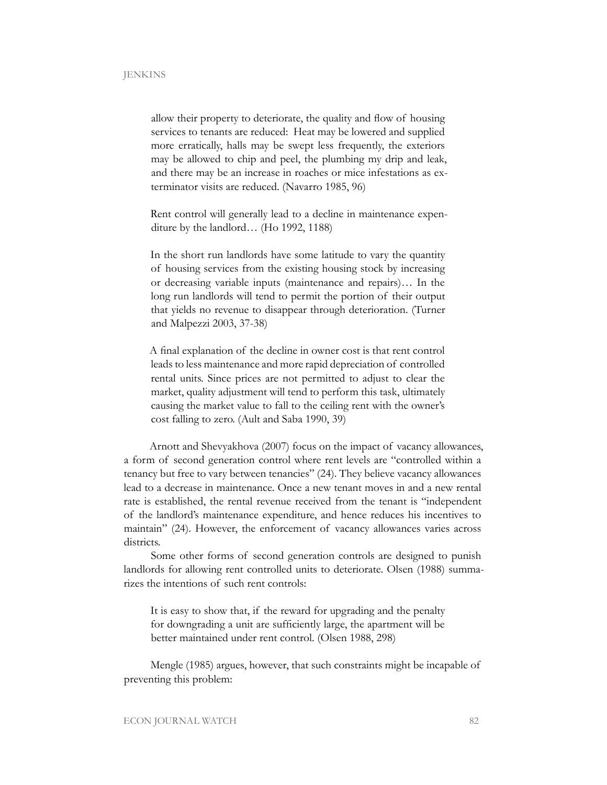allow their property to deteriorate, the quality and flow of housing services to tenants are reduced: Heat may be lowered and supplied more erratically, halls may be swept less frequently, the exteriors may be allowed to chip and peel, the plumbing my drip and leak, and there may be an increase in roaches or mice infestations as exterminator visits are reduced. (Navarro 1985, 96)

Rent control will generally lead to a decline in maintenance expenditure by the landlord… (Ho 1992, 1188)

In the short run landlords have some latitude to vary the quantity of housing services from the existing housing stock by increasing or decreasing variable inputs (maintenance and repairs)… In the long run landlords will tend to permit the portion of their output that yields no revenue to disappear through deterioration. (Turner and Malpezzi 2003, 37-38)

A final explanation of the decline in owner cost is that rent control leads to less maintenance and more rapid depreciation of controlled rental units. Since prices are not permitted to adjust to clear the market, quality adjustment will tend to perform this task, ultimately causing the market value to fall to the ceiling rent with the owner's cost falling to zero. (Ault and Saba 1990, 39)

Arnott and Shevyakhova (2007) focus on the impact of vacancy allowances, a form of second generation control where rent levels are "controlled within a tenancy but free to vary between tenancies" (24). They believe vacancy allowances lead to a decrease in maintenance. Once a new tenant moves in and a new rental rate is established, the rental revenue received from the tenant is "independent of the landlord's maintenance expenditure, and hence reduces his incentives to maintain" (24). However, the enforcement of vacancy allowances varies across districts.

Some other forms of second generation controls are designed to punish landlords for allowing rent controlled units to deteriorate. Olsen (1988) summarizes the intentions of such rent controls:

It is easy to show that, if the reward for upgrading and the penalty for downgrading a unit are sufficiently large, the apartment will be better maintained under rent control. (Olsen 1988, 298)

Mengle (1985) argues, however, that such constraints might be incapable of preventing this problem: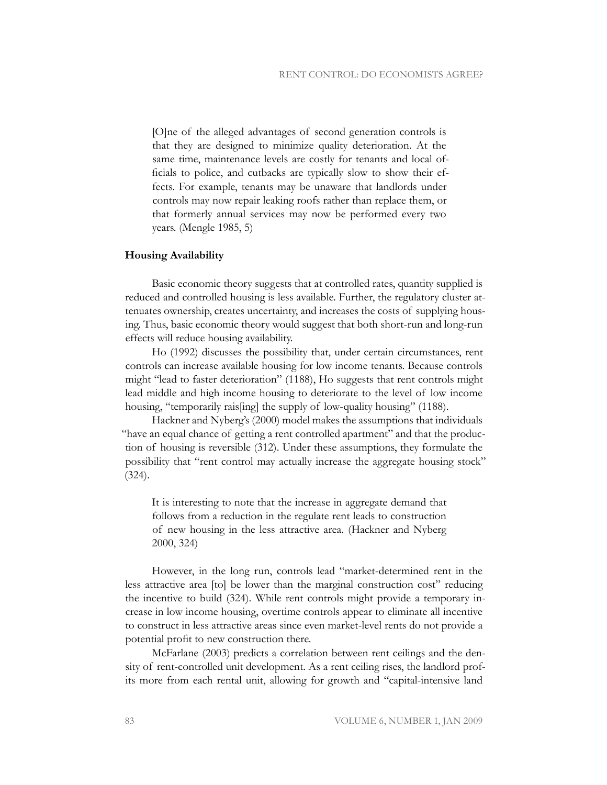[O]ne of the alleged advantages of second generation controls is that they are designed to minimize quality deterioration. At the same time, maintenance levels are costly for tenants and local officials to police, and cutbacks are typically slow to show their effects. For example, tenants may be unaware that landlords under controls may now repair leaking roofs rather than replace them, or that formerly annual services may now be performed every two years. (Mengle 1985, 5)

#### **Housing Availability**

Basic economic theory suggests that at controlled rates, quantity supplied is reduced and controlled housing is less available. Further, the regulatory cluster attenuates ownership, creates uncertainty, and increases the costs of supplying housing. Thus, basic economic theory would suggest that both short-run and long-run effects will reduce housing availability.

Ho (1992) discusses the possibility that, under certain circumstances, rent controls can increase available housing for low income tenants. Because controls might "lead to faster deterioration" (1188), Ho suggests that rent controls might lead middle and high income housing to deteriorate to the level of low income housing, "temporarily rais[ing] the supply of low-quality housing" (1188).

Hackner and Nyberg's (2000) model makes the assumptions that individuals "have an equal chance of getting a rent controlled apartment" and that the production of housing is reversible (312). Under these assumptions, they formulate the possibility that "rent control may actually increase the aggregate housing stock" (324).

It is interesting to note that the increase in aggregate demand that follows from a reduction in the regulate rent leads to construction of new housing in the less attractive area. (Hackner and Nyberg 2000, 324)

However, in the long run, controls lead "market-determined rent in the less attractive area [to] be lower than the marginal construction cost" reducing the incentive to build (324). While rent controls might provide a temporary increase in low income housing, overtime controls appear to eliminate all incentive to construct in less attractive areas since even market-level rents do not provide a potential profit to new construction there.

McFarlane (2003) predicts a correlation between rent ceilings and the density of rent-controlled unit development. As a rent ceiling rises, the landlord profits more from each rental unit, allowing for growth and "capital-intensive land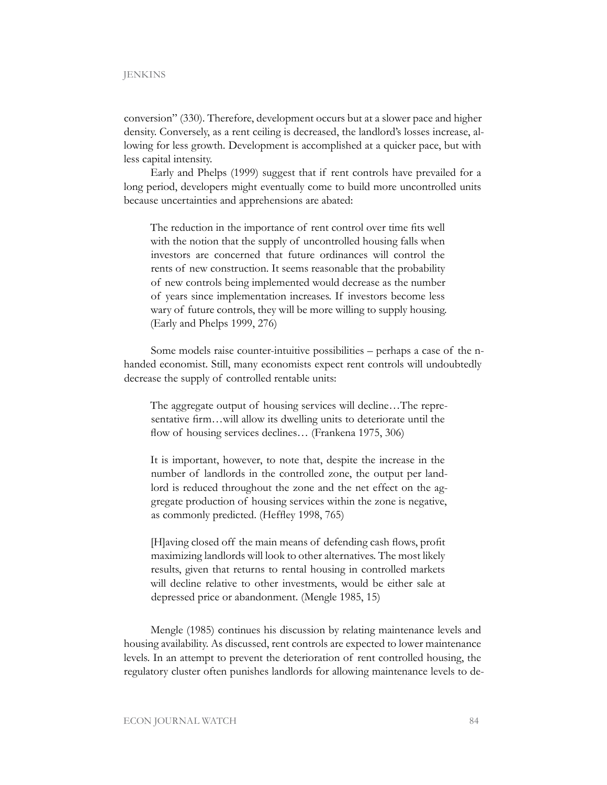conversion" (330). Therefore, development occurs but at a slower pace and higher density. Conversely, as a rent ceiling is decreased, the landlord's losses increase, allowing for less growth. Development is accomplished at a quicker pace, but with less capital intensity.

Early and Phelps (1999) suggest that if rent controls have prevailed for a long period, developers might eventually come to build more uncontrolled units because uncertainties and apprehensions are abated:

The reduction in the importance of rent control over time fits well with the notion that the supply of uncontrolled housing falls when investors are concerned that future ordinances will control the rents of new construction. It seems reasonable that the probability of new controls being implemented would decrease as the number of years since implementation increases. If investors become less wary of future controls, they will be more willing to supply housing. (Early and Phelps 1999, 276)

Some models raise counter-intuitive possibilities – perhaps a case of the nhanded economist. Still, many economists expect rent controls will undoubtedly decrease the supply of controlled rentable units:

The aggregate output of housing services will decline…The representative firm…will allow its dwelling units to deteriorate until the flow of housing services declines... (Frankena 1975, 306)

It is important, however, to note that, despite the increase in the number of landlords in the controlled zone, the output per landlord is reduced throughout the zone and the net effect on the aggregate production of housing services within the zone is negative, as commonly predicted. (Heffley 1998, 765)

[H]aving closed off the main means of defending cash flows, profit maximizing landlords will look to other alternatives. The most likely results, given that returns to rental housing in controlled markets will decline relative to other investments, would be either sale at depressed price or abandonment. (Mengle 1985, 15)

Mengle (1985) continues his discussion by relating maintenance levels and housing availability. As discussed, rent controls are expected to lower maintenance levels. In an attempt to prevent the deterioration of rent controlled housing, the regulatory cluster often punishes landlords for allowing maintenance levels to de-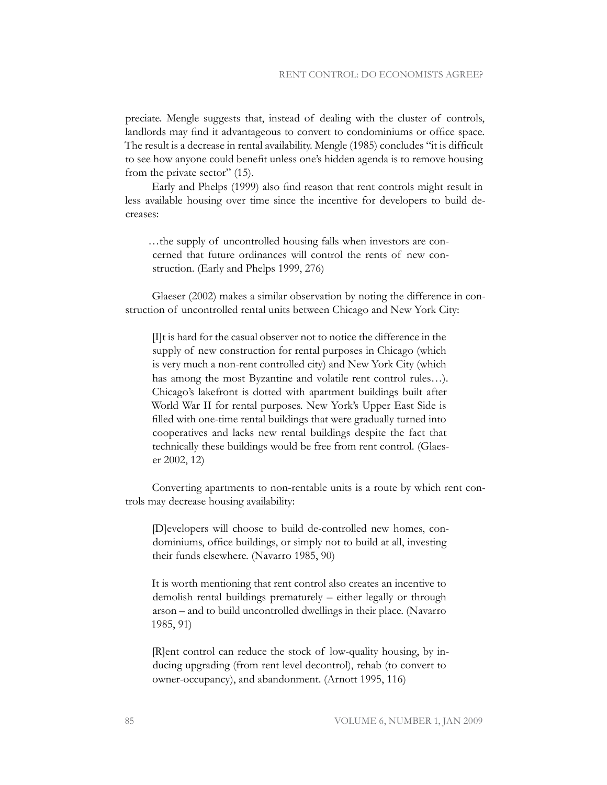preciate. Mengle suggests that, instead of dealing with the cluster of controls, landlords may find it advantageous to convert to condominiums or office space. The result is a decrease in rental availability. Mengle (1985) concludes "it is difficult to see how anyone could benefit unless one's hidden agenda is to remove housing from the private sector" (15).

Early and Phelps (1999) also find reason that rent controls might result in less available housing over time since the incentive for developers to build decreases:

…the supply of uncontrolled housing falls when investors are concerned that future ordinances will control the rents of new construction. (Early and Phelps 1999, 276)

Glaeser (2002) makes a similar observation by noting the difference in construction of uncontrolled rental units between Chicago and New York City:

[I]t is hard for the casual observer not to notice the difference in the supply of new construction for rental purposes in Chicago (which is very much a non-rent controlled city) and New York City (which has among the most Byzantine and volatile rent control rules…). Chicago's lakefront is dotted with apartment buildings built after World War II for rental purposes. New York's Upper East Side is filled with one-time rental buildings that were gradually turned into cooperatives and lacks new rental buildings despite the fact that technically these buildings would be free from rent control. (Glaeser 2002, 12)

Converting apartments to non-rentable units is a route by which rent controls may decrease housing availability:

[D]evelopers will choose to build de-controlled new homes, condominiums, office buildings, or simply not to build at all, investing their funds elsewhere. (Navarro 1985, 90)

It is worth mentioning that rent control also creates an incentive to demolish rental buildings prematurely – either legally or through arson – and to build uncontrolled dwellings in their place. (Navarro 1985, 91)

[R]ent control can reduce the stock of low-quality housing, by inducing upgrading (from rent level decontrol), rehab (to convert to owner-occupancy), and abandonment. (Arnott 1995, 116)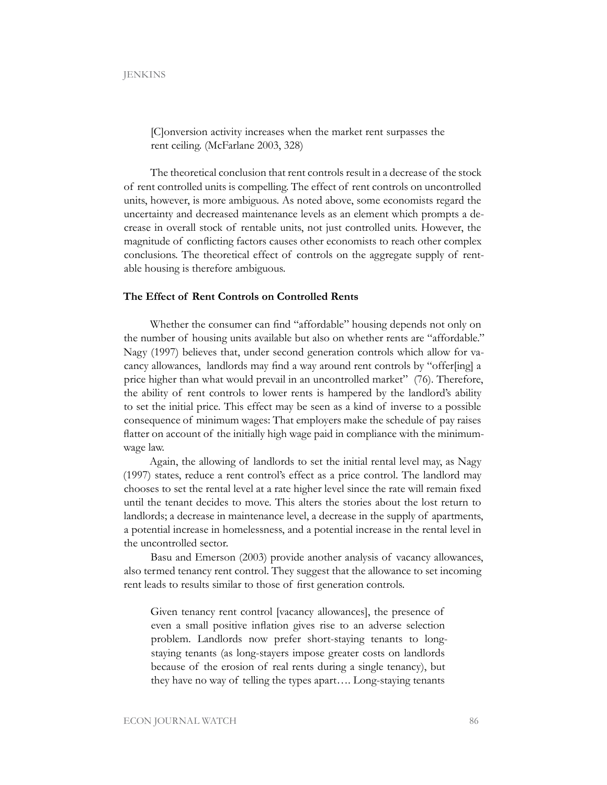[C]onversion activity increases when the market rent surpasses the rent ceiling. (McFarlane 2003, 328)

The theoretical conclusion that rent controls result in a decrease of the stock of rent controlled units is compelling. The effect of rent controls on uncontrolled units, however, is more ambiguous. As noted above, some economists regard the uncertainty and decreased maintenance levels as an element which prompts a decrease in overall stock of rentable units, not just controlled units. However, the magnitude of conflicting factors causes other economists to reach other complex conclusions. The theoretical effect of controls on the aggregate supply of rentable housing is therefore ambiguous.

## **The Effect of Rent Controls on Controlled Rents**

Whether the consumer can find "affordable" housing depends not only on the number of housing units available but also on whether rents are "affordable." Nagy (1997) believes that, under second generation controls which allow for vacancy allowances, landlords may find a way around rent controls by "offer[ing] a price higher than what would prevail in an uncontrolled market" (76). Therefore, the ability of rent controls to lower rents is hampered by the landlord's ability to set the initial price. This effect may be seen as a kind of inverse to a possible consequence of minimum wages: That employers make the schedule of pay raises flatter on account of the initially high wage paid in compliance with the minimumwage law.

Again, the allowing of landlords to set the initial rental level may, as Nagy (1997) states, reduce a rent control's effect as a price control. The landlord may chooses to set the rental level at a rate higher level since the rate will remain fixed until the tenant decides to move. This alters the stories about the lost return to landlords; a decrease in maintenance level, a decrease in the supply of apartments, a potential increase in homelessness, and a potential increase in the rental level in the uncontrolled sector.

Basu and Emerson (2003) provide another analysis of vacancy allowances, also termed tenancy rent control. They suggest that the allowance to set incoming rent leads to results similar to those of first generation controls.

Given tenancy rent control [vacancy allowances], the presence of even a small positive inflation gives rise to an adverse selection problem. Landlords now prefer short-staying tenants to longstaying tenants (as long-stayers impose greater costs on landlords because of the erosion of real rents during a single tenancy), but they have no way of telling the types apart…. Long-staying tenants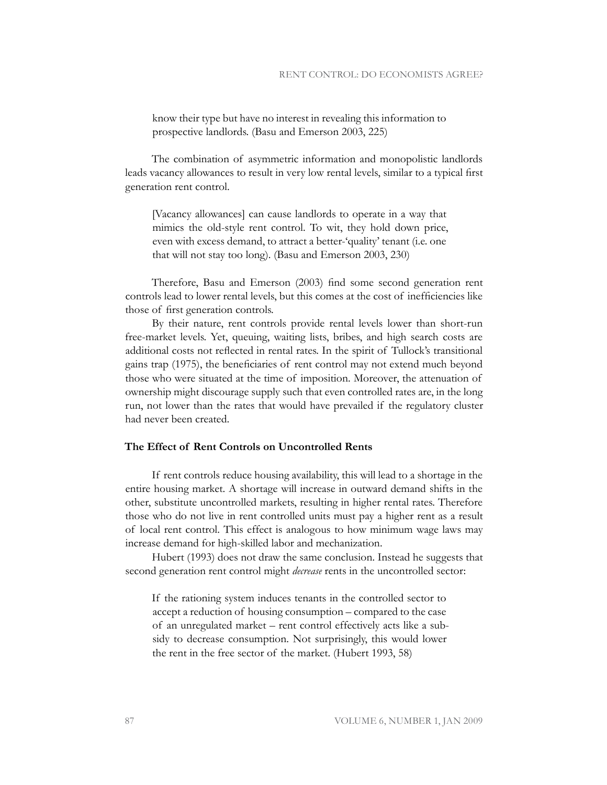know their type but have no interest in revealing this information to prospective landlords. (Basu and Emerson 2003, 225)

The combination of asymmetric information and monopolistic landlords leads vacancy allowances to result in very low rental levels, similar to a typical first generation rent control.

[Vacancy allowances] can cause landlords to operate in a way that mimics the old-style rent control. To wit, they hold down price, even with excess demand, to attract a better-'quality' tenant (i.e. one that will not stay too long). (Basu and Emerson 2003, 230)

Therefore, Basu and Emerson (2003) find some second generation rent controls lead to lower rental levels, but this comes at the cost of inefficiencies like those of first generation controls.

By their nature, rent controls provide rental levels lower than short-run free-market levels. Yet, queuing, waiting lists, bribes, and high search costs are additional costs not reflected in rental rates. In the spirit of Tullock's transitional gains trap (1975), the beneficiaries of rent control may not extend much beyond those who were situated at the time of imposition. Moreover, the attenuation of ownership might discourage supply such that even controlled rates are, in the long run, not lower than the rates that would have prevailed if the regulatory cluster had never been created.

## **The Effect of Rent Controls on Uncontrolled Rents**

If rent controls reduce housing availability, this will lead to a shortage in the entire housing market. A shortage will increase in outward demand shifts in the other, substitute uncontrolled markets, resulting in higher rental rates. Therefore those who do not live in rent controlled units must pay a higher rent as a result of local rent control. This effect is analogous to how minimum wage laws may increase demand for high-skilled labor and mechanization.

Hubert (1993) does not draw the same conclusion. Instead he suggests that second generation rent control might *decrease* rents in the uncontrolled sector:

If the rationing system induces tenants in the controlled sector to accept a reduction of housing consumption – compared to the case of an unregulated market – rent control effectively acts like a subsidy to decrease consumption. Not surprisingly, this would lower the rent in the free sector of the market. (Hubert 1993, 58)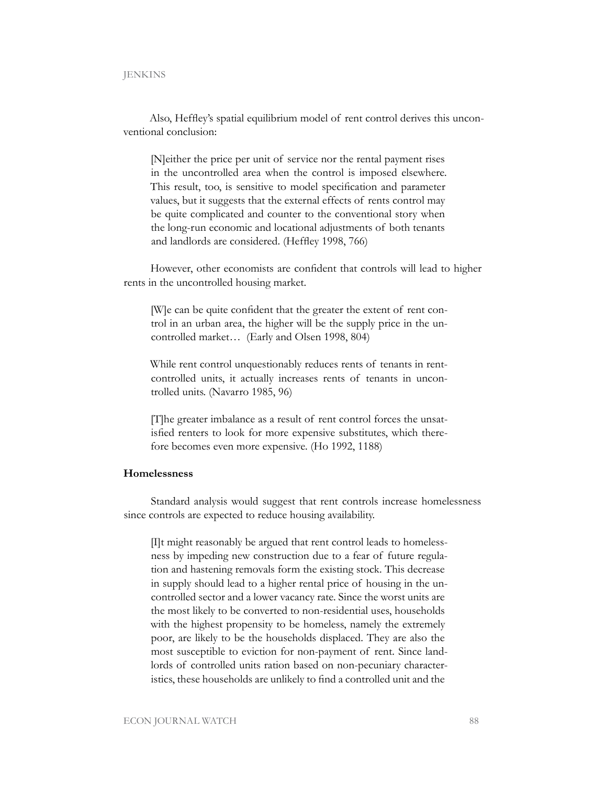Also, Heffley's spatial equilibrium model of rent control derives this unconventional conclusion:

[N]either the price per unit of service nor the rental payment rises in the uncontrolled area when the control is imposed elsewhere. This result, too, is sensitive to model specification and parameter values, but it suggests that the external effects of rents control may be quite complicated and counter to the conventional story when the long-run economic and locational adjustments of both tenants and landlords are considered. (Heffley 1998, 766)

However, other economists are confident that controls will lead to higher rents in the uncontrolled housing market.

[W]e can be quite confident that the greater the extent of rent control in an urban area, the higher will be the supply price in the uncontrolled market… (Early and Olsen 1998, 804)

While rent control unquestionably reduces rents of tenants in rentcontrolled units, it actually increases rents of tenants in uncontrolled units. (Navarro 1985, 96)

[T]he greater imbalance as a result of rent control forces the unsatisfied renters to look for more expensive substitutes, which therefore becomes even more expensive. (Ho 1992, 1188)

## **Homelessness**

Standard analysis would suggest that rent controls increase homelessness since controls are expected to reduce housing availability.

[I]t might reasonably be argued that rent control leads to homelessness by impeding new construction due to a fear of future regulation and hastening removals form the existing stock. This decrease in supply should lead to a higher rental price of housing in the uncontrolled sector and a lower vacancy rate. Since the worst units are the most likely to be converted to non-residential uses, households with the highest propensity to be homeless, namely the extremely poor, are likely to be the households displaced. They are also the most susceptible to eviction for non-payment of rent. Since landlords of controlled units ration based on non-pecuniary characteristics, these households are unlikely to find a controlled unit and the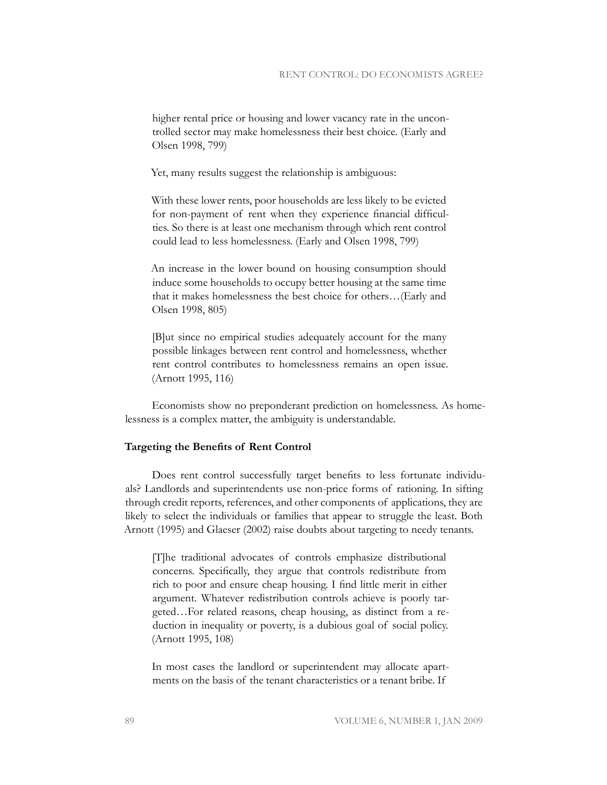higher rental price or housing and lower vacancy rate in the uncontrolled sector may make homelessness their best choice. (Early and Olsen 1998, 799)

Yet, many results suggest the relationship is ambiguous:

With these lower rents, poor households are less likely to be evicted for non-payment of rent when they experience financial difficulties. So there is at least one mechanism through which rent control could lead to less homelessness. (Early and Olsen 1998, 799)

An increase in the lower bound on housing consumption should induce some households to occupy better housing at the same time that it makes homelessness the best choice for others…(Early and Olsen 1998, 805)

[B]ut since no empirical studies adequately account for the many possible linkages between rent control and homelessness, whether rent control contributes to homelessness remains an open issue. (Arnott 1995, 116)

Economists show no preponderant prediction on homelessness. As homelessness is a complex matter, the ambiguity is understandable.

## **Targeting the Benefits of Rent Control**

Does rent control successfully target benefits to less fortunate individuals? Landlords and superintendents use non-price forms of rationing. In sifting through credit reports, references, and other components of applications, they are likely to select the individuals or families that appear to struggle the least. Both Arnott (1995) and Glaeser (2002) raise doubts about targeting to needy tenants.

[T]he traditional advocates of controls emphasize distributional concerns. Specifically, they argue that controls redistribute from rich to poor and ensure cheap housing. I find little merit in either argument. Whatever redistribution controls achieve is poorly targeted…For related reasons, cheap housing, as distinct from a reduction in inequality or poverty, is a dubious goal of social policy. (Arnott 1995, 108)

In most cases the landlord or superintendent may allocate apartments on the basis of the tenant characteristics or a tenant bribe. If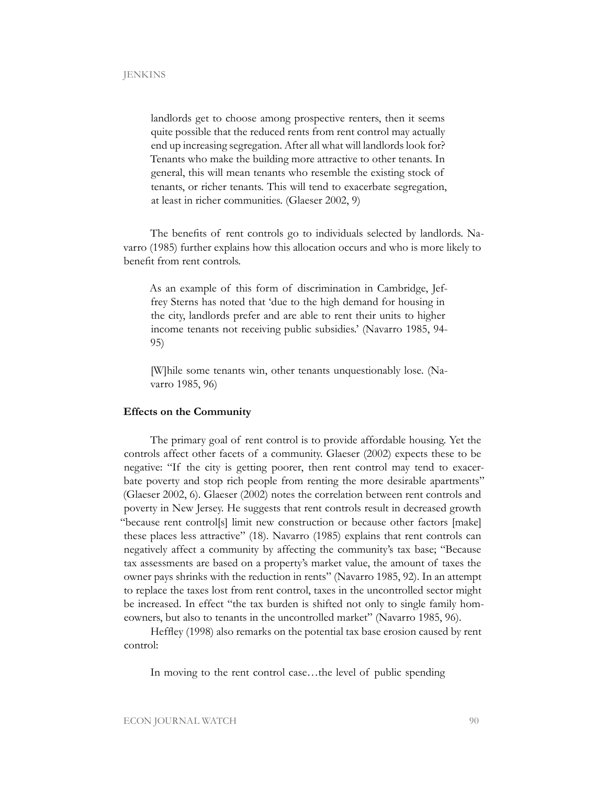landlords get to choose among prospective renters, then it seems quite possible that the reduced rents from rent control may actually end up increasing segregation. After all what will landlords look for? Tenants who make the building more attractive to other tenants. In general, this will mean tenants who resemble the existing stock of tenants, or richer tenants. This will tend to exacerbate segregation, at least in richer communities. (Glaeser 2002, 9)

The benefits of rent controls go to individuals selected by landlords. Navarro (1985) further explains how this allocation occurs and who is more likely to benefit from rent controls.

As an example of this form of discrimination in Cambridge, Jeffrey Sterns has noted that 'due to the high demand for housing in the city, landlords prefer and are able to rent their units to higher income tenants not receiving public subsidies.' (Navarro 1985, 94- 95)

[W]hile some tenants win, other tenants unquestionably lose. (Navarro 1985, 96)

#### **Effects on the Community**

The primary goal of rent control is to provide affordable housing. Yet the controls affect other facets of a community. Glaeser (2002) expects these to be negative: "If the city is getting poorer, then rent control may tend to exacerbate poverty and stop rich people from renting the more desirable apartments" (Glaeser 2002, 6). Glaeser (2002) notes the correlation between rent controls and poverty in New Jersey. He suggests that rent controls result in decreased growth "because rent control[s] limit new construction or because other factors [make] these places less attractive" (18). Navarro (1985) explains that rent controls can negatively affect a community by affecting the community's tax base; "Because tax assessments are based on a property's market value, the amount of taxes the owner pays shrinks with the reduction in rents" (Navarro 1985, 92). In an attempt to replace the taxes lost from rent control, taxes in the uncontrolled sector might be increased. In effect "the tax burden is shifted not only to single family homeowners, but also to tenants in the uncontrolled market" (Navarro 1985, 96).

Heffley (1998) also remarks on the potential tax base erosion caused by rent control:

In moving to the rent control case…the level of public spending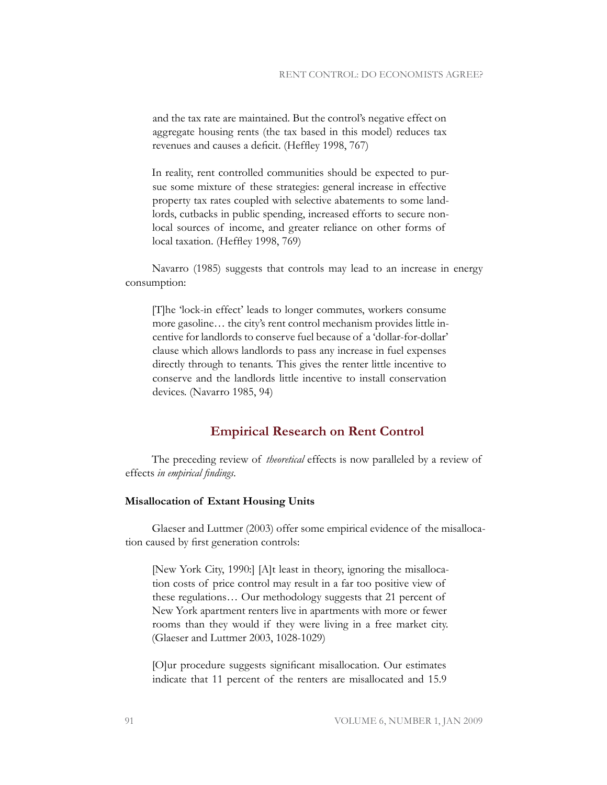and the tax rate are maintained. But the control's negative effect on aggregate housing rents (the tax based in this model) reduces tax revenues and causes a deficit. (Heffley 1998, 767)

In reality, rent controlled communities should be expected to pursue some mixture of these strategies: general increase in effective property tax rates coupled with selective abatements to some landlords, cutbacks in public spending, increased efforts to secure nonlocal sources of income, and greater reliance on other forms of local taxation. (Heffley 1998, 769)

Navarro (1985) suggests that controls may lead to an increase in energy consumption:

[T]he 'lock-in effect' leads to longer commutes, workers consume more gasoline… the city's rent control mechanism provides little incentive for landlords to conserve fuel because of a 'dollar-for-dollar' clause which allows landlords to pass any increase in fuel expenses directly through to tenants. This gives the renter little incentive to conserve and the landlords little incentive to install conservation devices. (Navarro 1985, 94)

## **Empirical Research on Rent Control**

The preceding review of *theoretical* effects is now paralleled by a review of effects *in empirical findings*.

## **Misallocation of Extant Housing Units**

Glaeser and Luttmer (2003) offer some empirical evidence of the misallocation caused by first generation controls:

[New York City, 1990:] [A]t least in theory, ignoring the misallocation costs of price control may result in a far too positive view of these regulations… Our methodology suggests that 21 percent of New York apartment renters live in apartments with more or fewer rooms than they would if they were living in a free market city. (Glaeser and Luttmer 2003, 1028-1029)

[O]ur procedure suggests significant misallocation. Our estimates indicate that 11 percent of the renters are misallocated and 15.9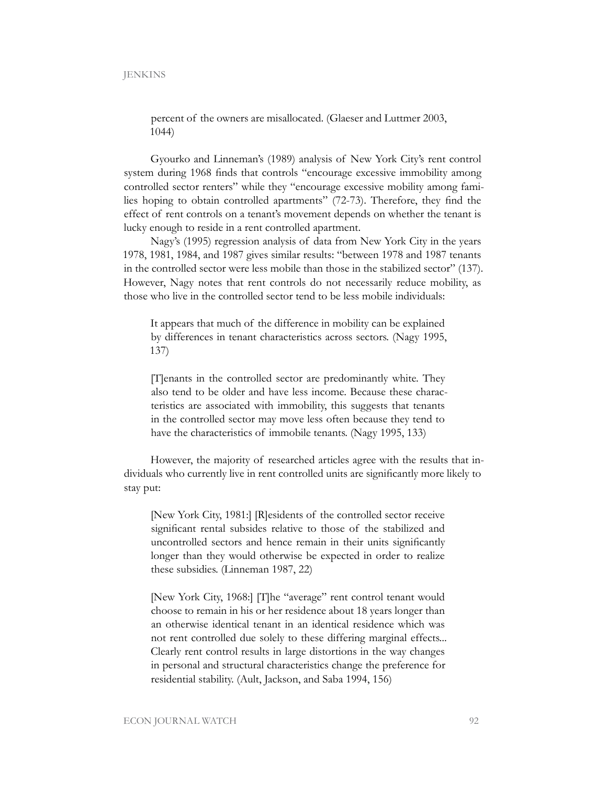percent of the owners are misallocated. (Glaeser and Luttmer 2003, 1044)

Gyourko and Linneman's (1989) analysis of New York City's rent control system during 1968 finds that controls "encourage excessive immobility among controlled sector renters" while they "encourage excessive mobility among families hoping to obtain controlled apartments" (72-73). Therefore, they find the effect of rent controls on a tenant's movement depends on whether the tenant is lucky enough to reside in a rent controlled apartment.

Nagy's (1995) regression analysis of data from New York City in the years 1978, 1981, 1984, and 1987 gives similar results: "between 1978 and 1987 tenants in the controlled sector were less mobile than those in the stabilized sector" (137). However, Nagy notes that rent controls do not necessarily reduce mobility, as those who live in the controlled sector tend to be less mobile individuals:

It appears that much of the difference in mobility can be explained by differences in tenant characteristics across sectors. (Nagy 1995, 137)

[T]enants in the controlled sector are predominantly white. They also tend to be older and have less income. Because these characteristics are associated with immobility, this suggests that tenants in the controlled sector may move less often because they tend to have the characteristics of immobile tenants. (Nagy 1995, 133)

However, the majority of researched articles agree with the results that individuals who currently live in rent controlled units are significantly more likely to stay put:

[New York City, 1981:] [R]esidents of the controlled sector receive significant rental subsides relative to those of the stabilized and uncontrolled sectors and hence remain in their units significantly longer than they would otherwise be expected in order to realize these subsidies. (Linneman 1987, 22)

[New York City, 1968:] [T]he "average" rent control tenant would choose to remain in his or her residence about 18 years longer than an otherwise identical tenant in an identical residence which was not rent controlled due solely to these differing marginal effects... Clearly rent control results in large distortions in the way changes in personal and structural characteristics change the preference for residential stability. (Ault, Jackson, and Saba 1994, 156)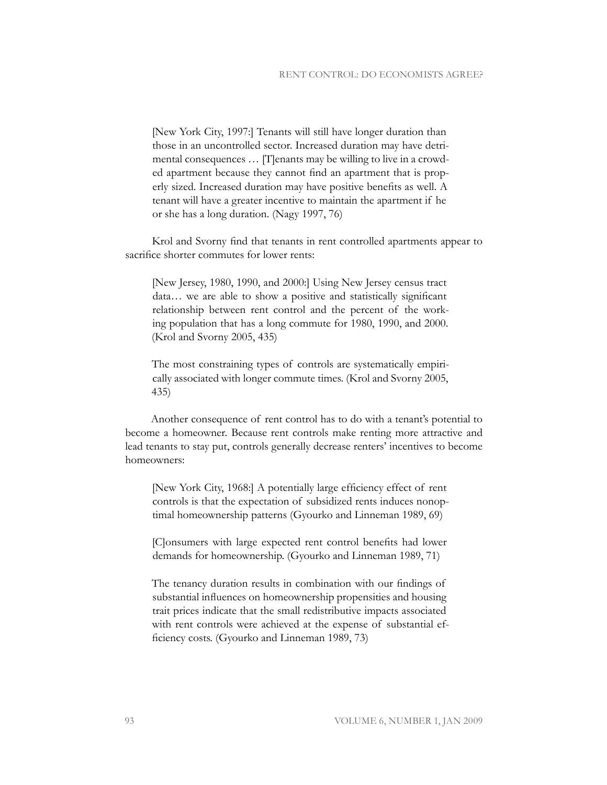[New York City, 1997:] Tenants will still have longer duration than those in an uncontrolled sector. Increased duration may have detrimental consequences … [T]enants may be willing to live in a crowded apartment because they cannot find an apartment that is properly sized. Increased duration may have positive benefits as well. A tenant will have a greater incentive to maintain the apartment if he or she has a long duration. (Nagy 1997, 76)

Krol and Svorny find that tenants in rent controlled apartments appear to sacrifice shorter commutes for lower rents:

[New Jersey, 1980, 1990, and 2000:] Using New Jersey census tract data… we are able to show a positive and statistically significant relationship between rent control and the percent of the working population that has a long commute for 1980, 1990, and 2000. (Krol and Svorny 2005, 435)

The most constraining types of controls are systematically empirically associated with longer commute times. (Krol and Svorny 2005, 435)

Another consequence of rent control has to do with a tenant's potential to become a homeowner. Because rent controls make renting more attractive and lead tenants to stay put, controls generally decrease renters' incentives to become homeowners:

[New York City, 1968:] A potentially large efficiency effect of rent controls is that the expectation of subsidized rents induces nonoptimal homeownership patterns (Gyourko and Linneman 1989, 69)

[C]onsumers with large expected rent control benefits had lower demands for homeownership. (Gyourko and Linneman 1989, 71)

The tenancy duration results in combination with our findings of substantial influences on homeownership propensities and housing trait prices indicate that the small redistributive impacts associated with rent controls were achieved at the expense of substantial efficiency costs. (Gyourko and Linneman 1989, 73)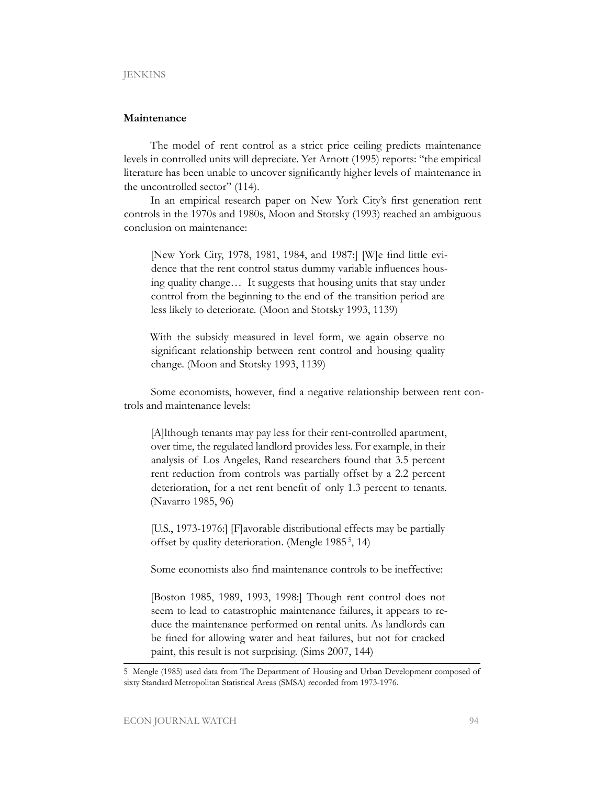#### **Maintenance**

The model of rent control as a strict price ceiling predicts maintenance levels in controlled units will depreciate. Yet Arnott (1995) reports: "the empirical literature has been unable to uncover significantly higher levels of maintenance in the uncontrolled sector" (114).

In an empirical research paper on New York City's first generation rent controls in the 1970s and 1980s, Moon and Stotsky (1993) reached an ambiguous conclusion on maintenance:

[New York City, 1978, 1981, 1984, and 1987:] [W]e find little evidence that the rent control status dummy variable influences housing quality change… It suggests that housing units that stay under control from the beginning to the end of the transition period are less likely to deteriorate. (Moon and Stotsky 1993, 1139)

With the subsidy measured in level form, we again observe no significant relationship between rent control and housing quality change. (Moon and Stotsky 1993, 1139)

Some economists, however, find a negative relationship between rent controls and maintenance levels:

[A]lthough tenants may pay less for their rent-controlled apartment, over time, the regulated landlord provides less. For example, in their analysis of Los Angeles, Rand researchers found that 3.5 percent rent reduction from controls was partially offset by a 2.2 percent deterioration, for a net rent benefit of only 1.3 percent to tenants. (Navarro 1985, 96)

[U.S., 1973-1976:] [F]avorable distributional effects may be partially offset by quality deterioration. (Mengle 1985 5, 14)

Some economists also find maintenance controls to be ineffective:

[Boston 1985, 1989, 1993, 1998:] Though rent control does not seem to lead to catastrophic maintenance failures, it appears to reduce the maintenance performed on rental units. As landlords can be fined for allowing water and heat failures, but not for cracked paint, this result is not surprising. (Sims 2007, 144)

<sup>5</sup> Mengle (1985) used data from The Department of Housing and Urban Development composed of sixty Standard Metropolitan Statistical Areas (SMSA) recorded from 1973-1976.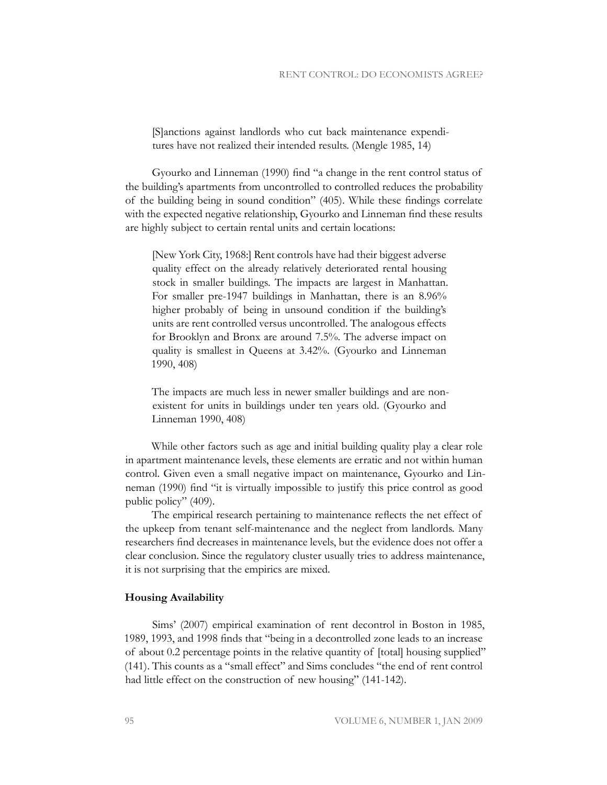[S]anctions against landlords who cut back maintenance expenditures have not realized their intended results. (Mengle 1985, 14)

Gyourko and Linneman (1990) find "a change in the rent control status of the building's apartments from uncontrolled to controlled reduces the probability of the building being in sound condition" (405). While these findings correlate with the expected negative relationship, Gyourko and Linneman find these results are highly subject to certain rental units and certain locations:

[New York City, 1968:] Rent controls have had their biggest adverse quality effect on the already relatively deteriorated rental housing stock in smaller buildings. The impacts are largest in Manhattan. For smaller pre-1947 buildings in Manhattan, there is an 8.96% higher probably of being in unsound condition if the building's units are rent controlled versus uncontrolled. The analogous effects for Brooklyn and Bronx are around 7.5%. The adverse impact on quality is smallest in Queens at 3.42%. (Gyourko and Linneman 1990, 408)

The impacts are much less in newer smaller buildings and are nonexistent for units in buildings under ten years old. (Gyourko and Linneman 1990, 408)

While other factors such as age and initial building quality play a clear role in apartment maintenance levels, these elements are erratic and not within human control. Given even a small negative impact on maintenance, Gyourko and Linneman (1990) find "it is virtually impossible to justify this price control as good public policy" (409).

The empirical research pertaining to maintenance reflects the net effect of the upkeep from tenant self-maintenance and the neglect from landlords. Many researchers find decreases in maintenance levels, but the evidence does not offer a clear conclusion. Since the regulatory cluster usually tries to address maintenance, it is not surprising that the empirics are mixed.

#### **Housing Availability**

Sims' (2007) empirical examination of rent decontrol in Boston in 1985, 1989, 1993, and 1998 finds that "being in a decontrolled zone leads to an increase of about 0.2 percentage points in the relative quantity of [total] housing supplied" (141). This counts as a "small effect" and Sims concludes "the end of rent control had little effect on the construction of new housing" (141-142).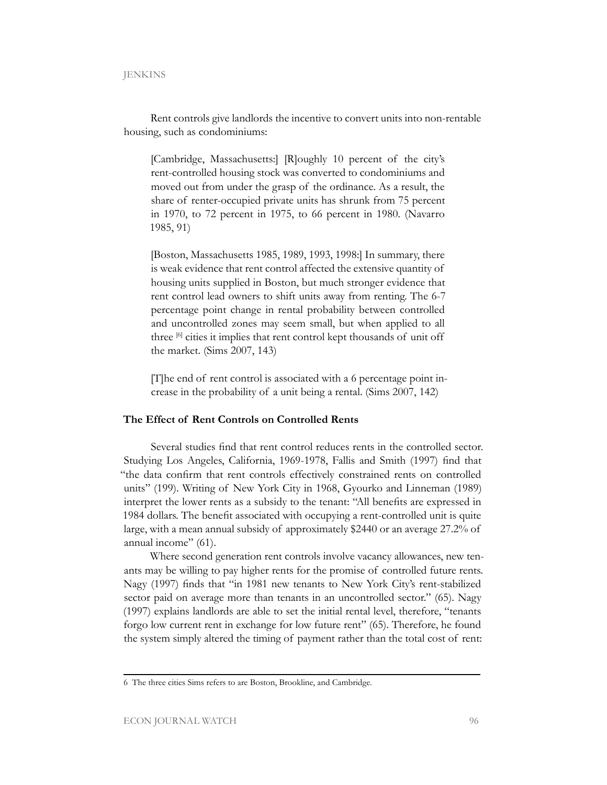Rent controls give landlords the incentive to convert units into non-rentable housing, such as condominiums:

[Cambridge, Massachusetts:] [R]oughly 10 percent of the city's rent-controlled housing stock was converted to condominiums and moved out from under the grasp of the ordinance. As a result, the share of renter-occupied private units has shrunk from 75 percent in 1970, to 72 percent in 1975, to 66 percent in 1980. (Navarro 1985, 91)

[Boston, Massachusetts 1985, 1989, 1993, 1998:] In summary, there is weak evidence that rent control affected the extensive quantity of housing units supplied in Boston, but much stronger evidence that rent control lead owners to shift units away from renting. The 6-7 percentage point change in rental probability between controlled and uncontrolled zones may seem small, but when applied to all three [6] cities it implies that rent control kept thousands of unit off the market. (Sims 2007, 143)

[T]he end of rent control is associated with a 6 percentage point increase in the probability of a unit being a rental. (Sims 2007, 142)

## **The Effect of Rent Controls on Controlled Rents**

Several studies find that rent control reduces rents in the controlled sector. Studying Los Angeles, California, 1969-1978, Fallis and Smith (1997) find that "the data confirm that rent controls effectively constrained rents on controlled units" (199). Writing of New York City in 1968, Gyourko and Linneman (1989) interpret the lower rents as a subsidy to the tenant: "All benefits are expressed in 1984 dollars. The benefit associated with occupying a rent-controlled unit is quite large, with a mean annual subsidy of approximately \$2440 or an average 27.2% of annual income" (61).

Where second generation rent controls involve vacancy allowances, new tenants may be willing to pay higher rents for the promise of controlled future rents. Nagy (1997) finds that "in 1981 new tenants to New York City's rent-stabilized sector paid on average more than tenants in an uncontrolled sector." (65). Nagy (1997) explains landlords are able to set the initial rental level, therefore, "tenants forgo low current rent in exchange for low future rent" (65). Therefore, he found the system simply altered the timing of payment rather than the total cost of rent:

<sup>6</sup> The three cities Sims refers to are Boston, Brookline, and Cambridge.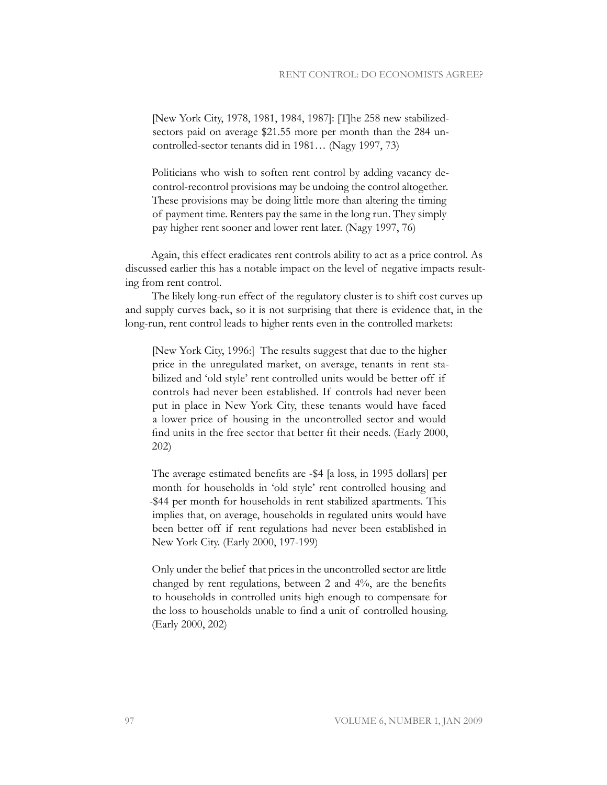[New York City, 1978, 1981, 1984, 1987]: [T]he 258 new stabilizedsectors paid on average \$21.55 more per month than the 284 uncontrolled-sector tenants did in 1981… (Nagy 1997, 73)

Politicians who wish to soften rent control by adding vacancy decontrol-recontrol provisions may be undoing the control altogether. These provisions may be doing little more than altering the timing of payment time. Renters pay the same in the long run. They simply pay higher rent sooner and lower rent later. (Nagy 1997, 76)

Again, this effect eradicates rent controls ability to act as a price control. As discussed earlier this has a notable impact on the level of negative impacts resulting from rent control.

The likely long-run effect of the regulatory cluster is to shift cost curves up and supply curves back, so it is not surprising that there is evidence that, in the long-run, rent control leads to higher rents even in the controlled markets:

[New York City, 1996:] The results suggest that due to the higher price in the unregulated market, on average, tenants in rent stabilized and 'old style' rent controlled units would be better off if controls had never been established. If controls had never been put in place in New York City, these tenants would have faced a lower price of housing in the uncontrolled sector and would find units in the free sector that better fit their needs. (Early 2000, 202)

The average estimated benefits are -\$4 [a loss, in 1995 dollars] per month for households in 'old style' rent controlled housing and -\$44 per month for households in rent stabilized apartments. This implies that, on average, households in regulated units would have been better off if rent regulations had never been established in New York City. (Early 2000, 197-199)

Only under the belief that prices in the uncontrolled sector are little changed by rent regulations, between 2 and 4%, are the benefits to households in controlled units high enough to compensate for the loss to households unable to find a unit of controlled housing. (Early 2000, 202)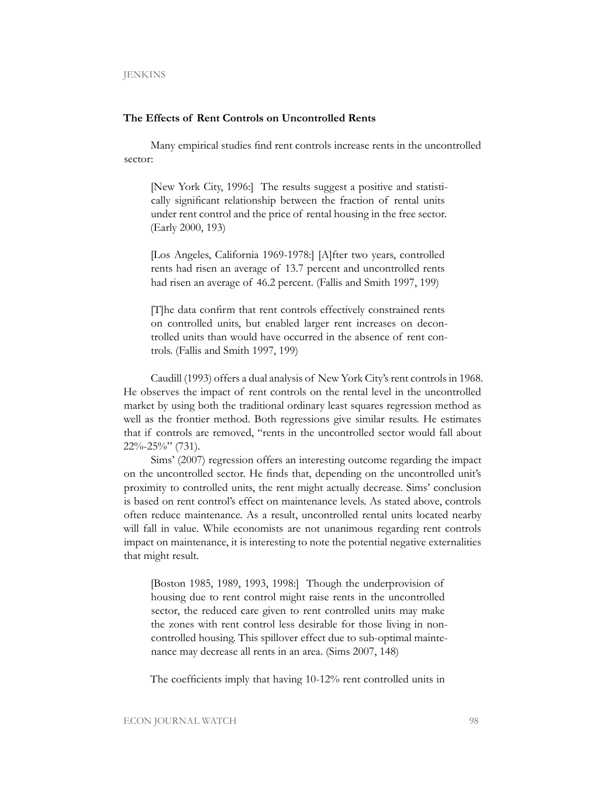## **The Effects of Rent Controls on Uncontrolled Rents**

Many empirical studies find rent controls increase rents in the uncontrolled sector:

[New York City, 1996:] The results suggest a positive and statistically significant relationship between the fraction of rental units under rent control and the price of rental housing in the free sector. (Early 2000, 193)

[Los Angeles, California 1969-1978:] [A]fter two years, controlled rents had risen an average of 13.7 percent and uncontrolled rents had risen an average of 46.2 percent. (Fallis and Smith 1997, 199)

[T]he data confirm that rent controls effectively constrained rents on controlled units, but enabled larger rent increases on decontrolled units than would have occurred in the absence of rent controls. (Fallis and Smith 1997, 199)

Caudill (1993) offers a dual analysis of New York City's rent controls in 1968. He observes the impact of rent controls on the rental level in the uncontrolled market by using both the traditional ordinary least squares regression method as well as the frontier method. Both regressions give similar results. He estimates that if controls are removed, "rents in the uncontrolled sector would fall about 22%-25%" (731).

Sims' (2007) regression offers an interesting outcome regarding the impact on the uncontrolled sector. He finds that, depending on the uncontrolled unit's proximity to controlled units, the rent might actually decrease. Sims' conclusion is based on rent control's effect on maintenance levels. As stated above, controls often reduce maintenance. As a result, uncontrolled rental units located nearby will fall in value. While economists are not unanimous regarding rent controls impact on maintenance, it is interesting to note the potential negative externalities that might result.

[Boston 1985, 1989, 1993, 1998:] Though the underprovision of housing due to rent control might raise rents in the uncontrolled sector, the reduced care given to rent controlled units may make the zones with rent control less desirable for those living in noncontrolled housing. This spillover effect due to sub-optimal maintenance may decrease all rents in an area. (Sims 2007, 148)

The coefficients imply that having 10-12% rent controlled units in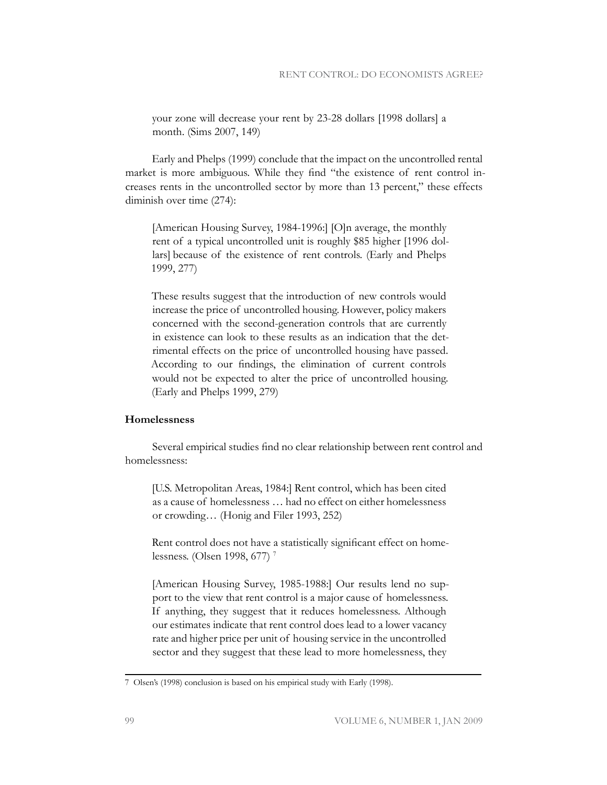your zone will decrease your rent by 23-28 dollars [1998 dollars] a month. (Sims 2007, 149)

Early and Phelps (1999) conclude that the impact on the uncontrolled rental market is more ambiguous. While they find "the existence of rent control increases rents in the uncontrolled sector by more than 13 percent," these effects diminish over time (274):

[American Housing Survey, 1984-1996:] [O]n average, the monthly rent of a typical uncontrolled unit is roughly \$85 higher [1996 dollars] because of the existence of rent controls. (Early and Phelps 1999, 277)

These results suggest that the introduction of new controls would increase the price of uncontrolled housing. However, policy makers concerned with the second-generation controls that are currently in existence can look to these results as an indication that the detrimental effects on the price of uncontrolled housing have passed. According to our findings, the elimination of current controls would not be expected to alter the price of uncontrolled housing. (Early and Phelps 1999, 279)

## **Homelessness**

Several empirical studies find no clear relationship between rent control and homelessness:

[U.S. Metropolitan Areas, 1984:] Rent control, which has been cited as a cause of homelessness … had no effect on either homelessness or crowding… (Honig and Filer 1993, 252)

Rent control does not have a statistically significant effect on homelessness. (Olsen 1998, 677)<sup>7</sup>

[American Housing Survey, 1985-1988:] Our results lend no support to the view that rent control is a major cause of homelessness. If anything, they suggest that it reduces homelessness. Although our estimates indicate that rent control does lead to a lower vacancy rate and higher price per unit of housing service in the uncontrolled sector and they suggest that these lead to more homelessness, they

<sup>7</sup> Olsen's (1998) conclusion is based on his empirical study with Early (1998).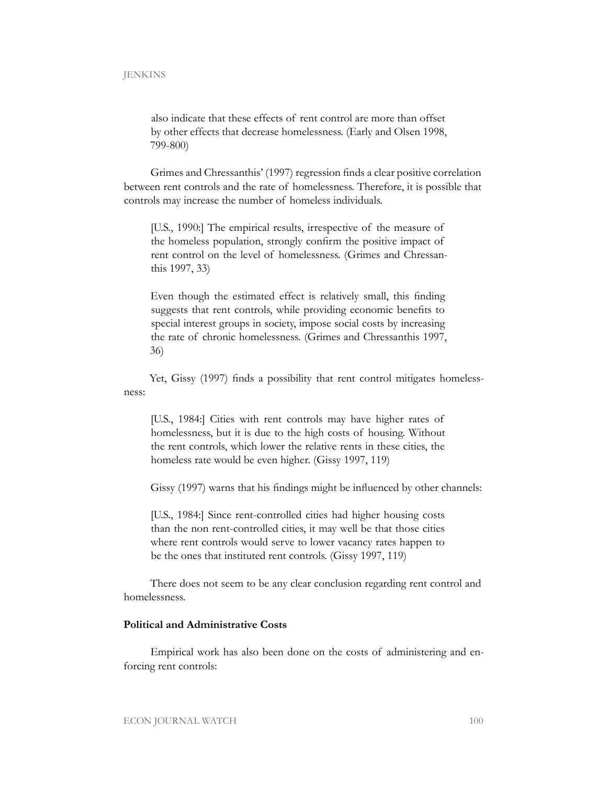also indicate that these effects of rent control are more than offset by other effects that decrease homelessness. (Early and Olsen 1998, 799-800)

Grimes and Chressanthis' (1997) regression finds a clear positive correlation between rent controls and the rate of homelessness. Therefore, it is possible that controls may increase the number of homeless individuals.

[U.S., 1990:] The empirical results, irrespective of the measure of the homeless population, strongly confirm the positive impact of rent control on the level of homelessness. (Grimes and Chressanthis 1997, 33)

Even though the estimated effect is relatively small, this finding suggests that rent controls, while providing economic benefits to special interest groups in society, impose social costs by increasing the rate of chronic homelessness. (Grimes and Chressanthis 1997, 36)

Yet, Gissy (1997) finds a possibility that rent control mitigates homelessness:

[U.S., 1984:] Cities with rent controls may have higher rates of homelessness, but it is due to the high costs of housing. Without the rent controls, which lower the relative rents in these cities, the homeless rate would be even higher. (Gissy 1997, 119)

Gissy (1997) warns that his findings might be influenced by other channels:

[U.S., 1984:] Since rent-controlled cities had higher housing costs than the non rent-controlled cities, it may well be that those cities where rent controls would serve to lower vacancy rates happen to be the ones that instituted rent controls. (Gissy 1997, 119)

There does not seem to be any clear conclusion regarding rent control and homelessness.

#### **Political and Administrative Costs**

Empirical work has also been done on the costs of administering and enforcing rent controls: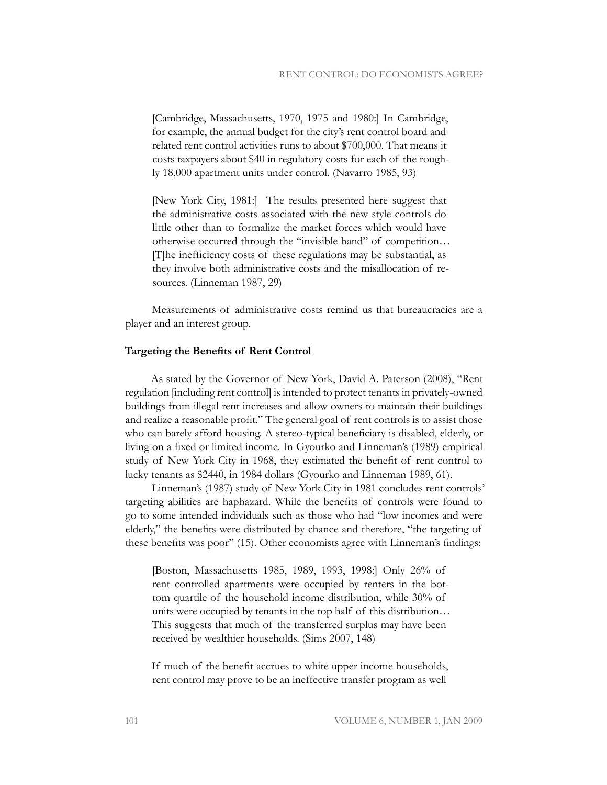[Cambridge, Massachusetts, 1970, 1975 and 1980:] In Cambridge, for example, the annual budget for the city's rent control board and related rent control activities runs to about \$700,000. That means it costs taxpayers about \$40 in regulatory costs for each of the roughly 18,000 apartment units under control. (Navarro 1985, 93)

[New York City, 1981:] The results presented here suggest that the administrative costs associated with the new style controls do little other than to formalize the market forces which would have otherwise occurred through the "invisible hand" of competition… [T]he inefficiency costs of these regulations may be substantial, as they involve both administrative costs and the misallocation of resources. (Linneman 1987, 29)

Measurements of administrative costs remind us that bureaucracies are a player and an interest group.

#### **Targeting the Benefits of Rent Control**

As stated by the Governor of New York, David A. Paterson (2008), "Rent regulation [including rent control] is intended to protect tenants in privately-owned buildings from illegal rent increases and allow owners to maintain their buildings and realize a reasonable profit." The general goal of rent controls is to assist those who can barely afford housing. A stereo-typical beneficiary is disabled, elderly, or living on a fixed or limited income. In Gyourko and Linneman's (1989) empirical study of New York City in 1968, they estimated the benefit of rent control to lucky tenants as \$2440, in 1984 dollars (Gyourko and Linneman 1989, 61).

Linneman's (1987) study of New York City in 1981 concludes rent controls' targeting abilities are haphazard. While the benefits of controls were found to go to some intended individuals such as those who had "low incomes and were elderly," the benefits were distributed by chance and therefore, "the targeting of these benefits was poor" (15). Other economists agree with Linneman's findings:

[Boston, Massachusetts 1985, 1989, 1993, 1998:] Only 26% of rent controlled apartments were occupied by renters in the bottom quartile of the household income distribution, while 30% of units were occupied by tenants in the top half of this distribution… This suggests that much of the transferred surplus may have been received by wealthier households. (Sims 2007, 148)

If much of the benefit accrues to white upper income households, rent control may prove to be an ineffective transfer program as well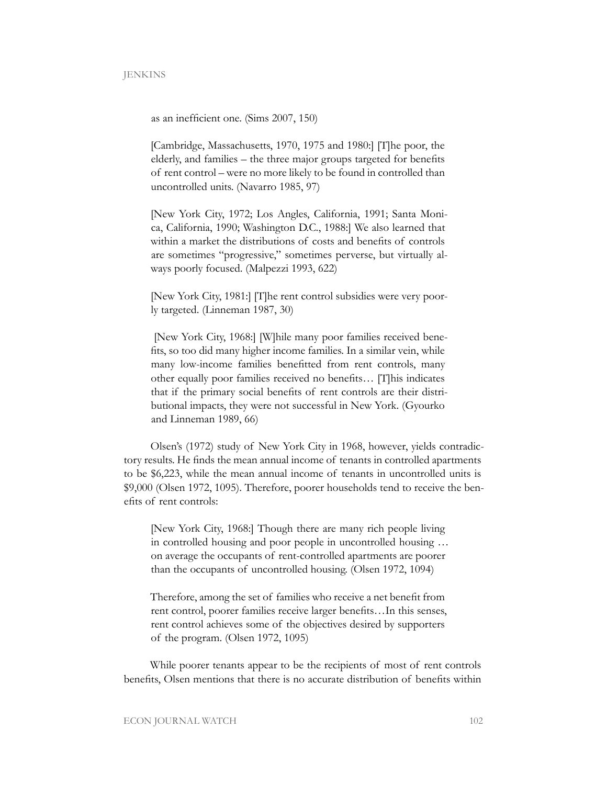as an inefficient one. (Sims 2007, 150)

[Cambridge, Massachusetts, 1970, 1975 and 1980:] [T]he poor, the elderly, and families – the three major groups targeted for benefits of rent control – were no more likely to be found in controlled than uncontrolled units. (Navarro 1985, 97)

[New York City, 1972; Los Angles, California, 1991; Santa Monica, California, 1990; Washington D.C., 1988:] We also learned that within a market the distributions of costs and benefits of controls are sometimes "progressive," sometimes perverse, but virtually always poorly focused. (Malpezzi 1993, 622)

[New York City, 1981:] [T]he rent control subsidies were very poorly targeted. (Linneman 1987, 30)

 [New York City, 1968:] [W]hile many poor families received benefits, so too did many higher income families. In a similar vein, while many low-income families benefitted from rent controls, many other equally poor families received no benefits… [T]his indicates that if the primary social benefits of rent controls are their distributional impacts, they were not successful in New York. (Gyourko and Linneman 1989, 66)

Olsen's (1972) study of New York City in 1968, however, yields contradictory results. He finds the mean annual income of tenants in controlled apartments to be \$6,223, while the mean annual income of tenants in uncontrolled units is \$9,000 (Olsen 1972, 1095). Therefore, poorer households tend to receive the benefits of rent controls:

[New York City, 1968:] Though there are many rich people living in controlled housing and poor people in uncontrolled housing … on average the occupants of rent-controlled apartments are poorer than the occupants of uncontrolled housing. (Olsen 1972, 1094)

Therefore, among the set of families who receive a net benefit from rent control, poorer families receive larger benefits…In this senses, rent control achieves some of the objectives desired by supporters of the program. (Olsen 1972, 1095)

While poorer tenants appear to be the recipients of most of rent controls benefits, Olsen mentions that there is no accurate distribution of benefits within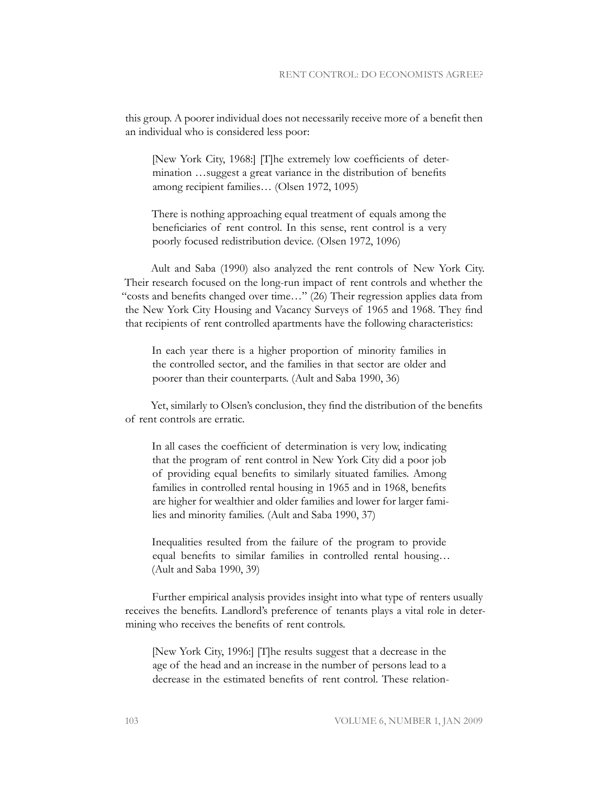this group. A poorer individual does not necessarily receive more of a benefit then an individual who is considered less poor:

[New York City, 1968:] [T]he extremely low coefficients of determination …suggest a great variance in the distribution of benefits among recipient families… (Olsen 1972, 1095)

There is nothing approaching equal treatment of equals among the beneficiaries of rent control. In this sense, rent control is a very poorly focused redistribution device. (Olsen 1972, 1096)

Ault and Saba (1990) also analyzed the rent controls of New York City. Their research focused on the long-run impact of rent controls and whether the "costs and benefits changed over time…" (26) Their regression applies data from the New York City Housing and Vacancy Surveys of 1965 and 1968. They find that recipients of rent controlled apartments have the following characteristics:

In each year there is a higher proportion of minority families in the controlled sector, and the families in that sector are older and poorer than their counterparts. (Ault and Saba 1990, 36)

Yet, similarly to Olsen's conclusion, they find the distribution of the benefits of rent controls are erratic.

In all cases the coefficient of determination is very low, indicating that the program of rent control in New York City did a poor job of providing equal benefits to similarly situated families. Among families in controlled rental housing in 1965 and in 1968, benefits are higher for wealthier and older families and lower for larger families and minority families. (Ault and Saba 1990, 37)

Inequalities resulted from the failure of the program to provide equal benefits to similar families in controlled rental housing… (Ault and Saba 1990, 39)

Further empirical analysis provides insight into what type of renters usually receives the benefits. Landlord's preference of tenants plays a vital role in determining who receives the benefits of rent controls.

[New York City, 1996:] [T]he results suggest that a decrease in the age of the head and an increase in the number of persons lead to a decrease in the estimated benefits of rent control. These relation-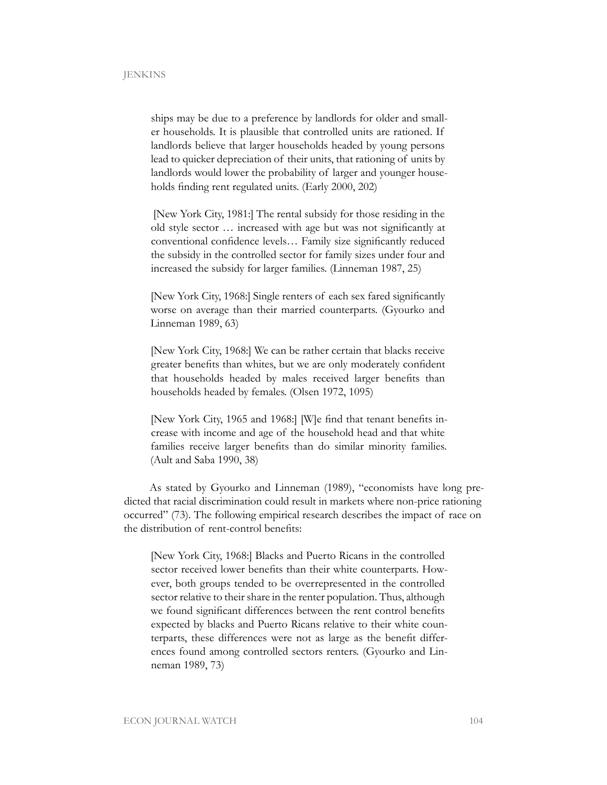ships may be due to a preference by landlords for older and smaller households. It is plausible that controlled units are rationed. If landlords believe that larger households headed by young persons lead to quicker depreciation of their units, that rationing of units by landlords would lower the probability of larger and younger households finding rent regulated units. (Early 2000, 202)

 [New York City, 1981:] The rental subsidy for those residing in the old style sector … increased with age but was not significantly at conventional confidence levels… Family size significantly reduced the subsidy in the controlled sector for family sizes under four and increased the subsidy for larger families. (Linneman 1987, 25)

[New York City, 1968:] Single renters of each sex fared significantly worse on average than their married counterparts. (Gyourko and Linneman 1989, 63)

[New York City, 1968:] We can be rather certain that blacks receive greater benefits than whites, but we are only moderately confident that households headed by males received larger benefits than households headed by females. (Olsen 1972, 1095)

[New York City, 1965 and 1968:] [W]e find that tenant benefits increase with income and age of the household head and that white families receive larger benefits than do similar minority families. (Ault and Saba 1990, 38)

As stated by Gyourko and Linneman (1989), "economists have long predicted that racial discrimination could result in markets where non-price rationing occurred" (73). The following empirical research describes the impact of race on the distribution of rent-control benefits:

[New York City, 1968:] Blacks and Puerto Ricans in the controlled sector received lower benefits than their white counterparts. However, both groups tended to be overrepresented in the controlled sector relative to their share in the renter population. Thus, although we found significant differences between the rent control benefits expected by blacks and Puerto Ricans relative to their white counterparts, these differences were not as large as the benefit differences found among controlled sectors renters. (Gyourko and Linneman 1989, 73)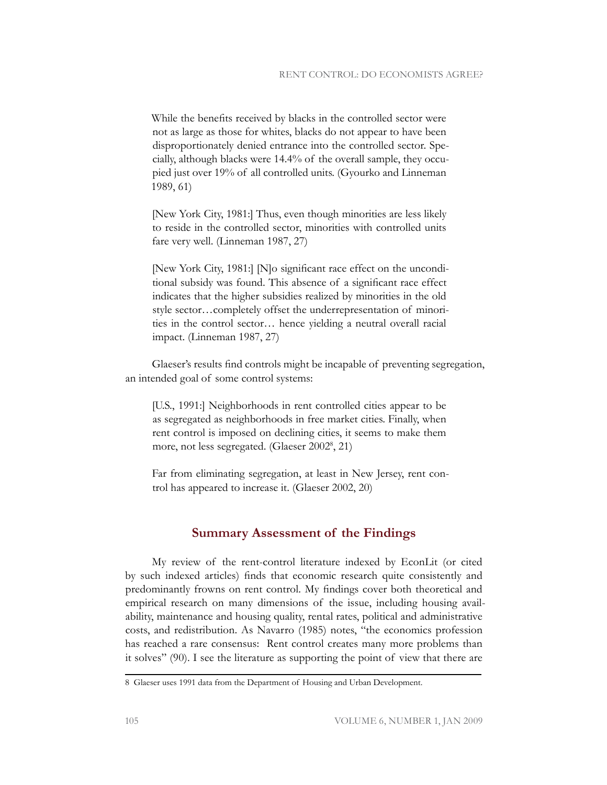While the benefits received by blacks in the controlled sector were not as large as those for whites, blacks do not appear to have been disproportionately denied entrance into the controlled sector. Specially, although blacks were 14.4% of the overall sample, they occupied just over 19% of all controlled units. (Gyourko and Linneman 1989, 61)

[New York City, 1981:] Thus, even though minorities are less likely to reside in the controlled sector, minorities with controlled units fare very well. (Linneman 1987, 27)

[New York City, 1981:] [N]o significant race effect on the unconditional subsidy was found. This absence of a significant race effect indicates that the higher subsidies realized by minorities in the old style sector…completely offset the underrepresentation of minorities in the control sector… hence yielding a neutral overall racial impact. (Linneman 1987, 27)

Glaeser's results find controls might be incapable of preventing segregation, an intended goal of some control systems:

[U.S., 1991:] Neighborhoods in rent controlled cities appear to be as segregated as neighborhoods in free market cities. Finally, when rent control is imposed on declining cities, it seems to make them more, not less segregated. (Glaeser 2002<sup>8</sup>, 21)

Far from eliminating segregation, at least in New Jersey, rent control has appeared to increase it. (Glaeser 2002, 20)

## **Summary Assessment of the Findings**

My review of the rent-control literature indexed by EconLit (or cited by such indexed articles) finds that economic research quite consistently and predominantly frowns on rent control. My findings cover both theoretical and empirical research on many dimensions of the issue, including housing availability, maintenance and housing quality, rental rates, political and administrative costs, and redistribution. As Navarro (1985) notes, "the economics profession has reached a rare consensus: Rent control creates many more problems than it solves" (90). I see the literature as supporting the point of view that there are

<sup>8</sup> Glaeser uses 1991 data from the Department of Housing and Urban Development.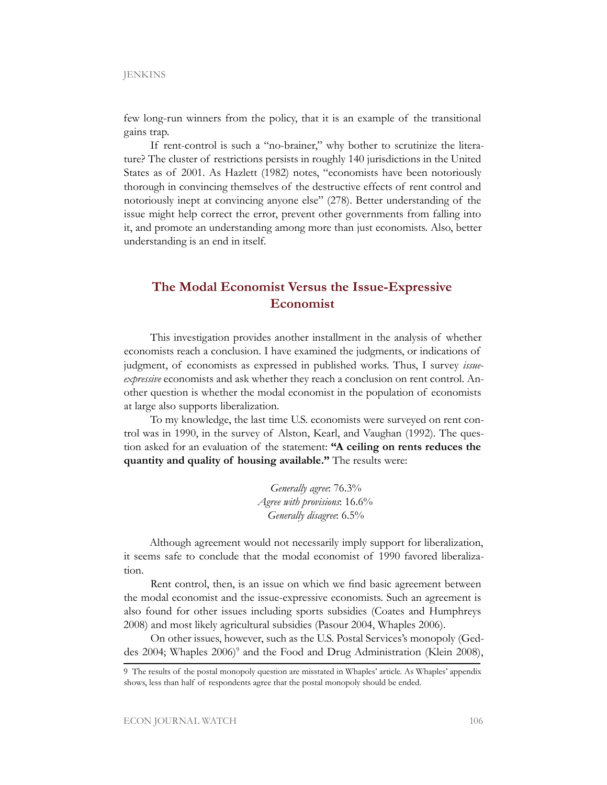few long-run winners from the policy, that it is an example of the transitional gains trap.

If rent-control is such a "no-brainer," why bother to scrutinize the literature? The cluster of restrictions persists in roughly 140 jurisdictions in the United States as of 2001. As Hazlett (1982) notes, "economists have been notoriously thorough in convincing themselves of the destructive effects of rent control and notoriously inept at convincing anyone else" (278). Better understanding of the issue might help correct the error, prevent other governments from falling into it, and promote an understanding among more than just economists. Also, better understanding is an end in itself.

## **The Modal Economist Versus the Issue-Expressive Economist**

This investigation provides another installment in the analysis of whether economists reach a conclusion. I have examined the judgments, or indications of judgment, of economists as expressed in published works. Thus, I survey *issueexpressive* economists and ask whether they reach a conclusion on rent control. Another question is whether the modal economist in the population of economists at large also supports liberalization.

To my knowledge, the last time U.S. economists were surveyed on rent control was in 1990, in the survey of Alston, Kearl, and Vaughan (1992). The question asked for an evaluation of the statement: **"A ceiling on rents reduces the quantity and quality of housing available."** The results were:

> *Generally agree*: 76.3% *Agree with provisions*: 16.6% *Generally disagree*: 6.5%

Although agreement would not necessarily imply support for liberalization, it seems safe to conclude that the modal economist of 1990 favored liberalization.

Rent control, then, is an issue on which we find basic agreement between the modal economist and the issue-expressive economists. Such an agreement is also found for other issues including sports subsidies (Coates and Humphreys 2008) and most likely agricultural subsidies (Pasour 2004, Whaples 2006).

On other issues, however, such as the U.S. Postal Services's monopoly (Geddes 2004; Whaples 2006)<sup>9</sup> and the Food and Drug Administration (Klein 2008),

<sup>9</sup> The results of the postal monopoly question are misstated in Whaples' article. As Whaples' appendix shows, less than half of respondents agree that the postal monopoly should be ended.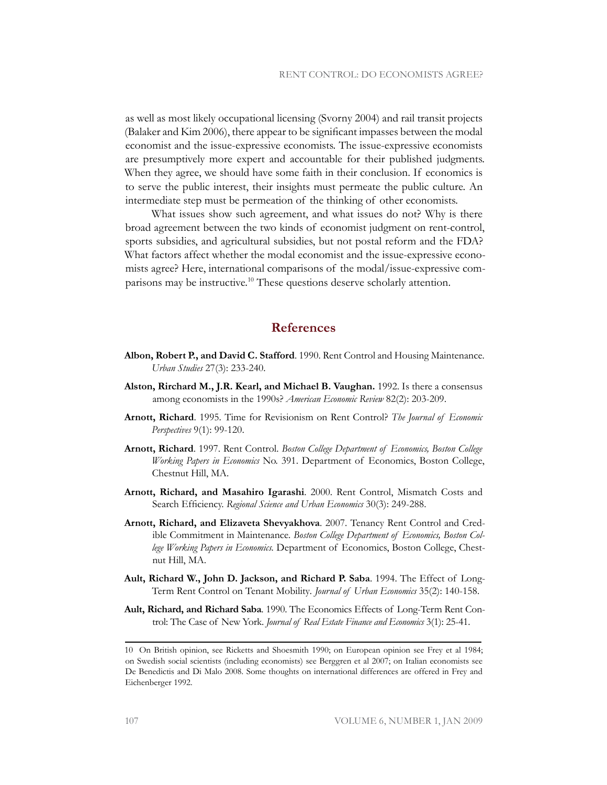as well as most likely occupational licensing (Svorny 2004) and rail transit projects (Balaker and Kim 2006), there appear to be significant impasses between the modal economist and the issue-expressive economists. The issue-expressive economists are presumptively more expert and accountable for their published judgments. When they agree, we should have some faith in their conclusion. If economics is to serve the public interest, their insights must permeate the public culture. An intermediate step must be permeation of the thinking of other economists.

What issues show such agreement, and what issues do not? Why is there broad agreement between the two kinds of economist judgment on rent-control, sports subsidies, and agricultural subsidies, but not postal reform and the FDA? What factors affect whether the modal economist and the issue-expressive economists agree? Here, international comparisons of the modal/issue-expressive comparisons may be instructive.<sup>10</sup> These questions deserve scholarly attention.

## **References**

- **Albon, Robert P., and David C. Stafford**. 1990. Rent Control and Housing Maintenance. *Urban Studies* 27(3): 233-240.
- **Alston, Rirchard M., J.R. Kearl, and Michael B. Vaughan.** 1992. Is there a consensus among economists in the 1990s? *American Economic Review* 82(2): 203-209.
- **Arnott, Richard**. 1995. Time for Revisionism on Rent Control? *The Journal of Economic Perspectives* 9(1): 99-120.
- **Arnott, Richard**. 1997. Rent Control. *Boston College Department of Economics, Boston College Working Papers in Economics* No. 391. Department of Economics, Boston College, Chestnut Hill, MA.
- **Arnott, Richard, and Masahiro Igarashi**. 2000. Rent Control, Mismatch Costs and Search Efficiency. *Regional Science and Urban Economics* 30(3): 249-288.
- **Arnott, Richard, and Elizaveta Shevyakhova**. 2007. Tenancy Rent Control and Credible Commitment in Maintenance. *Boston College Department of Economics, Boston College Working Papers in Economics.* Department of Economics, Boston College, Chestnut Hill, MA.
- **Ault, Richard W., John D. Jackson, and Richard P. Saba**. 1994. The Effect of Long-Term Rent Control on Tenant Mobility*. Journal of Urban Economics* 35(2): 140-158.
- **Ault, Richard, and Richard Saba**. 1990. The Economics Effects of Long-Term Rent Control: The Case of New York. *Journal of Real Estate Finance and Economics* 3(1): 25-41.

<sup>10</sup> On British opinion, see Ricketts and Shoesmith 1990; on European opinion see Frey et al 1984; on Swedish social scientists (including economists) see Berggren et al 2007; on Italian economists see De Benedictis and Di Malo 2008. Some thoughts on international differences are offered in Frey and Eichenberger 1992.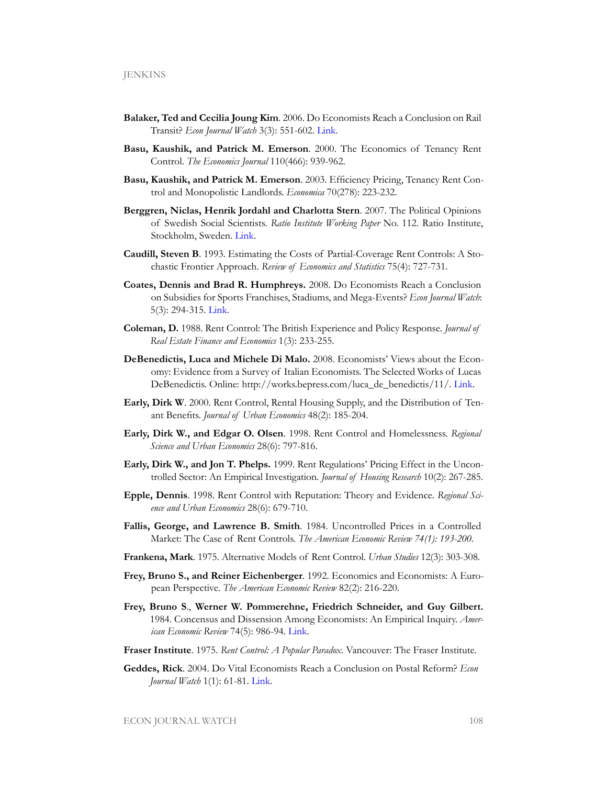- **Balaker, Ted and Cecilia Joung Kim**. 2006. Do Economists Reach a Conclusion on Rail Transit? *Econ Journal Watch* 3(3): 551-602. [Link](http://www.econjournalwatch.org/pdf/BalakerKimDoEconomistsSeptember2006.pdf).
- **Basu, Kaushik, and Patrick M. Emerson**. 2000. The Economics of Tenancy Rent Control. *The Economics Journal* 110(466): 939-962.
- **Basu, Kaushik, and Patrick M. Emerson**. 2003. Efficiency Pricing, Tenancy Rent Control and Monopolistic Landlords. *Economica* 70(278): 223-232.
- **Berggren, Niclas, Henrik Jordahl and Charlotta Stern**. 2007. The Political Opinions of Swedish Social Scientists. *Ratio Institute Working Paper* No. 112. Ratio Institute, Stockholm, Sweden. [Link](http://swopec.hhs.se/ratioi/abs/ratioi0112.htm).
- **Caudill, Steven B**. 1993. Estimating the Costs of Partial-Coverage Rent Controls: A Stochastic Frontier Approach. *Review of Economics and Statistics* 75(4): 727-731.
- **Coates, Dennis and Brad R. Humphreys.** 2008. Do Economists Reach a Conclusion on Subsidies for Sports Franchises, Stadiums, and Mega-Events? *Econ Journal Watch*: 5(3): 294-315. [Link](http://www.econjournalwatch.org/pdf/CoatesHumphreysDERACSeptember2008.pdf).
- **Coleman, D.** 1988. Rent Control: The British Experience and Policy Response. *Journal of Real Estate Finance and Economics* 1(3): 233-255.
- **DeBenedictis, Luca and Michele Di Malo.** 2008. Economists' Views about the Economy: Evidence from a Survey of Italian Economists. The Selected Works of Lucas DeBenedictis. Online: [http://works.bepress.com/luca\\_de\\_benedictis/11/.](http://works.bepress.com/luca_de_benedictis/11/) [Link](http://works.bepress.com/luca_de_benedictis/11/).
- **Early, Dirk W**. 2000. Rent Control, Rental Housing Supply, and the Distribution of Tenant Benefits. *Journal of Urban Economics* 48(2): 185-204.
- **Early, Dirk W., and Edgar O. Olsen**. 1998. Rent Control and Homelessness. *Regional Science and Urban Economics* 28(6): 797-816.
- **Early, Dirk W., and Jon T. Phelps.** 1999. Rent Regulations' Pricing Effect in the Uncontrolled Sector: An Empirical Investigation. *Journal of Housing Research* 10(2): 267-285.
- **Epple, Dennis**. 1998. Rent Control with Reputation: Theory and Evidence. *Regional Science and Urban Economics* 28(6): 679-710.
- **Fallis, George, and Lawrence B. Smith**. 1984. Uncontrolled Prices in a Controlled Market: The Case of Rent Controls. *The American Economic Review 74(1): 193-200.*
- **Frankena, Mark**. 1975. Alternative Models of Rent Control. *Urban Studies* 12(3): 303-308.
- **Frey, Bruno S., and Reiner Eichenberger**. 1992. Economics and Economists: A European Perspective. *The American Economic Review* 82(2): 216-220.
- **Frey, Bruno S**., **Werner W. Pommerehne, Friedrich Schneider, and Guy Gilbert.** 1984. Concensus and Dissension Among Economists: An Empirical Inquiry. *American Economic Review* 74(5): 986-94. [Link](http://www.jstor.org/stable/557).
- **Fraser Institute**. 1975. *Rent Control: A Popular Paradox*. Vancouver: The Fraser Institute.
- **Geddes, Rick**. 2004. Do Vital Economists Reach a Conclusion on Postal Reform? *Econ Journal Watch* 1(1): 61-81. [Link](http://www.econjournalwatch.org/pdf/Geddes Do Economists April 2004.pdf).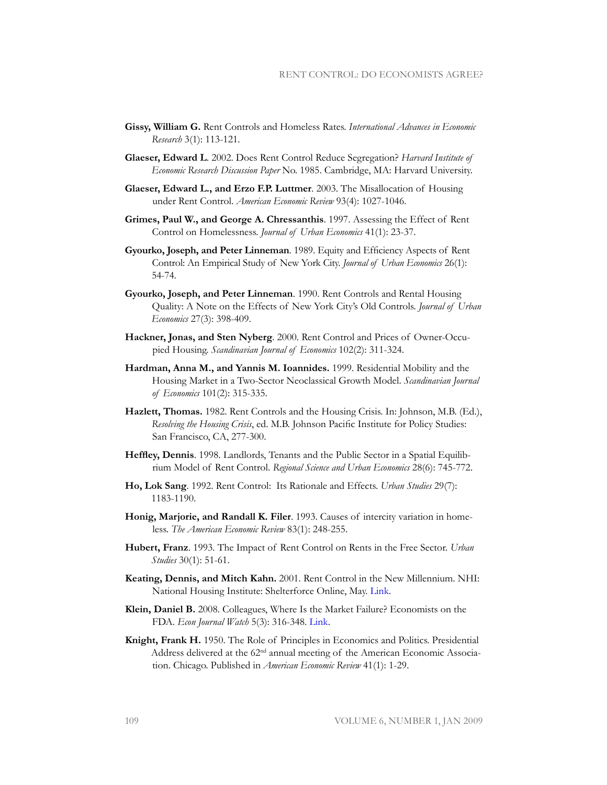- **Gissy, William G.** Rent Controls and Homeless Rates. *International Advances in Economic Research* 3(1): 113-121.
- **Glaeser, Edward L**. 2002. Does Rent Control Reduce Segregation? *Harvard Institute of Economic Research Discussion Paper* No. 1985. Cambridge, MA: Harvard University.
- **Glaeser, Edward L., and Erzo F.P. Luttmer**. 2003. The Misallocation of Housing under Rent Control. *American Economic Review* 93(4): 1027-1046.
- **Grimes, Paul W., and George A. Chressanthis**. 1997. Assessing the Effect of Rent Control on Homelessness. *Journal of Urban Economics* 41(1): 23-37.
- **Gyourko, Joseph, and Peter Linneman**. 1989. Equity and Efficiency Aspects of Rent Control: An Empirical Study of New York City. *Journal of Urban Economics* 26(1): 54-74.
- **Gyourko, Joseph, and Peter Linneman**. 1990. Rent Controls and Rental Housing Quality: A Note on the Effects of New York City's Old Controls. *Journal of Urban Economics* 27(3): 398-409.
- **Hackner, Jonas, and Sten Nyberg**. 2000. Rent Control and Prices of Owner-Occupied Housing. *Scandinavian Journal of Economics* 102(2): 311-324.
- **Hardman, Anna M., and Yannis M. Ioannides.** 1999. Residential Mobility and the Housing Market in a Two-Sector Neoclassical Growth Model. *Scandinavian Journal of Economics* 101(2): 315-335.
- **Hazlett, Thomas.** 1982. Rent Controls and the Housing Crisis. In: Johnson, M.B. (Ed.), *Resolving the Housing Crisis*, ed. M.B. Johnson Pacific Institute for Policy Studies: San Francisco, CA, 277-300.
- **Heffley, Dennis**. 1998. Landlords, Tenants and the Public Sector in a Spatial Equilibrium Model of Rent Control. *Regional Science and Urban Economics* 28(6): 745-772.
- **Ho, Lok Sang**. 1992. Rent Control: Its Rationale and Effects. *Urban Studies* 29(7): 1183-1190.
- **Honig, Marjorie, and Randall K. Filer**. 1993. Causes of intercity variation in homeless. *The American Economic Review* 83(1): 248-255.
- **Hubert, Franz**. 1993. The Impact of Rent Control on Rents in the Free Sector. *Urban Studies* 30(1): 51-61.
- **Keating, Dennis, and Mitch Kahn.** 2001. Rent Control in the New Millennium. NHI: National Housing Institute: Shelterforce Online, May. [Link](http://www.nhi.org/online/issues/117/KeatingKahn.html (cited: September 18, 2008 ).).
- **Klein, Daniel B.** 2008. Colleagues, Where Is the Market Failure? Economists on the FDA. *Econ Journal Watch* 5(3): 316-348. [Link](http://www.econjournalwatch.org/pdf/KleinTyrannySeptember2008.pdf).
- **Knight, Frank H.** 1950. The Role of Principles in Economics and Politics. Presidential Address delivered at the 62<sup>nd</sup> annual meeting of the American Economic Association. Chicago. Published in *American Economic Review* 41(1): 1-29.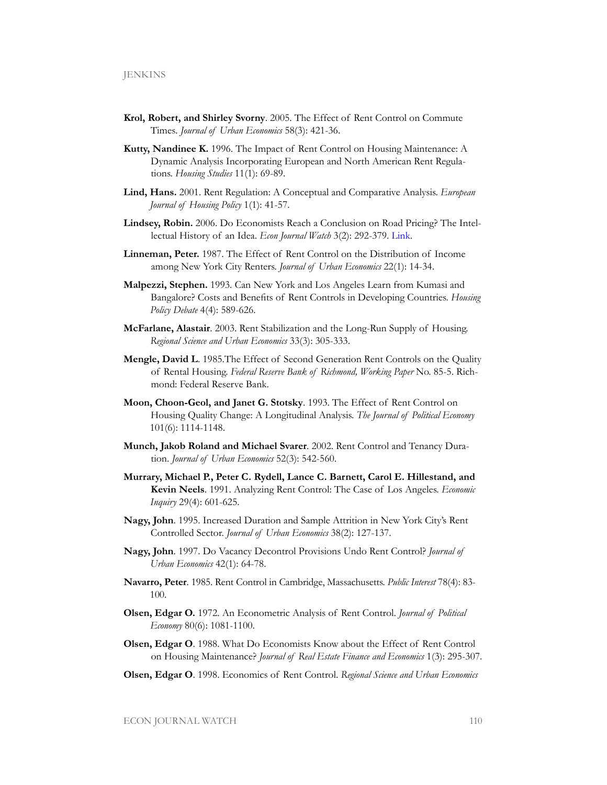- **Krol, Robert, and Shirley Svorny**. 2005. The Effect of Rent Control on Commute Times*. Journal of Urban Economics* 58(3): 421-36.
- **Kutty, Nandinee K.** 1996. The Impact of Rent Control on Housing Maintenance: A Dynamic Analysis Incorporating European and North American Rent Regulations. *Housing Studies* 11(1): 69-89.
- **Lind, Hans.** 2001. Rent Regulation: A Conceptual and Comparative Analysis. *European Journal of Housing Policy* 1(1): 41-57.
- **Lindsey, Robin.** 2006. Do Economists Reach a Conclusion on Road Pricing? The Intellectual History of an Idea. *Econ Journal Watch* 3(2): 292-379. [Link](http://www.econjournalwatch.org/pdf/LindseyDoEconomistsMay2006.pdf).
- **Linneman, Peter.** 1987. The Effect of Rent Control on the Distribution of Income among New York City Renters. *Journal of Urban Economics* 22(1): 14-34.
- **Malpezzi, Stephen.** 1993. Can New York and Los Angeles Learn from Kumasi and Bangalore? Costs and Benefits of Rent Controls in Developing Countries. *Housing Policy Debate* 4(4): 589-626.
- **McFarlane, Alastair**. 2003. Rent Stabilization and the Long-Run Supply of Housing. *Regional Science and Urban Economics* 33(3): 305-333.
- **Mengle, David L**. 1985.The Effect of Second Generation Rent Controls on the Quality of Rental Housing. *Federal Reserve Bank of Richmond, Working Paper* No. 85-5. Richmond: Federal Reserve Bank.
- **Moon, Choon-Geol, and Janet G. Stotsky**. 1993. The Effect of Rent Control on Housing Quality Change: A Longitudinal Analysis. *The Journal of Political Economy* 101(6): 1114-1148.
- **Munch, Jakob Roland and Michael Svarer**. 2002. Rent Control and Tenancy Duration. *Journal of Urban Economics* 52(3): 542-560.
- **Murrary, Michael P., Peter C. Rydell, Lance C. Barnett, Carol E. Hillestand, and Kevin Neels**. 1991. Analyzing Rent Control: The Case of Los Angeles. *Economic Inquiry* 29(4): 601-625.
- **Nagy, John**. 1995. Increased Duration and Sample Attrition in New York City's Rent Controlled Sector. *Journal of Urban Economics* 38(2): 127-137.
- **Nagy, John**. 1997. Do Vacancy Decontrol Provisions Undo Rent Control? *Journal of Urban Economics* 42(1): 64-78.
- **Navarro, Peter**. 1985. Rent Control in Cambridge, Massachusetts. *Public Interest* 78(4): 83- 100.
- **Olsen, Edgar O.** 1972. An Econometric Analysis of Rent Control. *Journal of Political Economy* 80(6): 1081-1100.
- **Olsen, Edgar O**. 1988. What Do Economists Know about the Effect of Rent Control on Housing Maintenance? *Journal of Real Estate Finance and Economics* 1(3): 295-307.
- **Olsen, Edgar O**. 1998. Economics of Rent Control. *Regional Science and Urban Economics*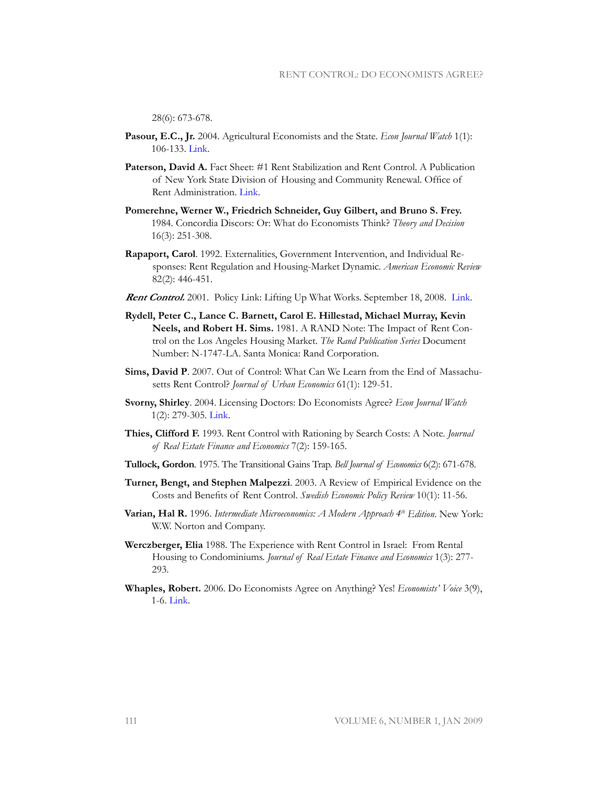28(6): 673-678.

- **Pasour, E.C., Jr.** 2004. Agricultural Economists and the State. *Econ Journal Watch* 1(1): 106-133. [Link](http://www.econjournalwatch.org/pdf/Pasour Intellectual Tyranny April 2004.pdf).
- Paterson, David A. Fact Sheet: #1 Rent Stabilization and Rent Control. A Publication of New York State Division of Housing and Community Renewal. Office of Rent Administration. [Link](http://ww.dhcr.state.ny.us/Rent/FactSheets/orafac1.pdf).
- **Pomerehne, Werner W., Friedrich Schneider, Guy Gilbert, and Bruno S. Frey.** 1984. Concordia Discors: Or: What do Economists Think? *Theory and Decision* 16(3): 251-308.
- **Rapaport, Carol**. 1992. Externalities, Government Intervention, and Individual Responses: Rent Regulation and Housing-Market Dynamic. *American Economic Review*  82(2): 446-451.
- **Rent Control.** 2001. Policy Link: Lifting Up What Works. September 18, 2008. [Link](http://www.policylink.org/EDTK/Rent Control/policy.html).
- **Rydell, Peter C., Lance C. Barnett, Carol E. Hillestad, Michael Murray, Kevin Neels, and Robert H. Sims.** 1981. A RAND Note: The Impact of Rent Control on the Los Angeles Housing Market. *The Rand Publication Series* Document Number: N-1747-LA. Santa Monica: Rand Corporation.
- **Sims, David P**. 2007. Out of Control: What Can We Learn from the End of Massachusetts Rent Control? *Journal of Urban Economics* 61(1): 129-51.
- **Svorny, Shirley**. 2004. Licensing Doctors: Do Economists Agree? *Econ Journal Watch*  1(2): 279-305. [Link](http://www.econjournalwatch.org/pdf/SvornyDoEconomistsAugust2004.pdf).
- **Thies, Clifford F.** 1993. Rent Control with Rationing by Search Costs: A Note. *Journal of Real Estate Finance and Economics* 7(2): 159-165.
- **Tullock, Gordon**. 1975. The Transitional Gains Trap. *Bell Journal of Economics* 6(2): 671-678.
- **Turner, Bengt, and Stephen Malpezzi**. 2003. A Review of Empirical Evidence on the Costs and Benefits of Rent Control. *Swedish Economic Policy Review* 10(1): 11-56.
- **Varian, Hal R.** 1996. *Intermediate Microeconomics: A Modern Approach 4th Edition*. New York: W.W. Norton and Company.
- **Werczberger, Elia** 1988. The Experience with Rent Control in Israel: From Rental Housing to Condominiums. *Journal of Real Estate Finance and Economics* 1(3): 277- 293.
- **Whaples, Robert.** 2006. Do Economists Agree on Anything? Yes! *Economists' Voice* 3(9), 1-6. [Link](http://www.bepress.com/cgi/viewcontent.cgi?filename=0&article=1156&context=ev&type=additional).